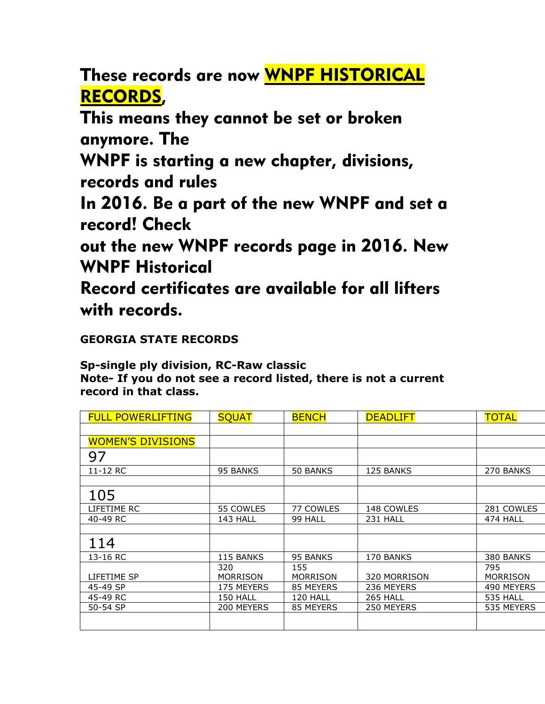These records are now WNPF HISTORICAL RECORDS,

This means they cannot be set or broken anymore. The

WNPF is starting a new chapter, divisions, records and rules

In 2016. Be a part of the new WNPF and set a record! Check

out the new WNPF records page in 2016. New WNPF Historical

Record certificates are available for all lifters with records.

## **GEORGIA STATE RECORDS**

**Sp-single ply division, RC-Raw classic Note- If you do not see a record listed, there is not a current record in that class.** 

| <b>FULL POWERLIFTING</b> | <b>SQUAT</b>    | <b>BENCH</b>    | <b>DEADLIFT</b> | <b>TOTAL</b>    |
|--------------------------|-----------------|-----------------|-----------------|-----------------|
|                          |                 |                 |                 |                 |
| <b>WOMEN'S DIVISIONS</b> |                 |                 |                 |                 |
| 97                       |                 |                 |                 |                 |
| 11-12 RC                 | 95 BANKS        | 50 BANKS        | 125 BANKS       | 270 BANKS       |
|                          |                 |                 |                 |                 |
| 105                      |                 |                 |                 |                 |
| LIFETIME RC              | 55 COWLES       | 77 COWLES       | 148 COWLES      | 281 COWLES      |
| 40-49 RC                 | 143 HALL        | 99 HALL         | 231 HALL        | 474 HALL        |
|                          |                 |                 |                 |                 |
| 114                      |                 |                 |                 |                 |
| 13-16 RC                 | 115 BANKS       | 95 BANKS        | 170 BANKS       | 380 BANKS       |
|                          | 320             | 155             |                 | 795             |
| LIFETIME SP              | <b>MORRISON</b> | <b>MORRISON</b> | 320 MORRISON    | <b>MORRISON</b> |
| 45-49 SP                 | 175 MEYERS      | 85 MEYERS       | 236 MEYERS      | 490 MEYERS      |
| 45-49 RC                 | 150 HALL        | 120 HALL        | 265 HALL        | 535 HALL        |
| 50-54 SP                 | 200 MEYERS      | 85 MEYERS       | 250 MEYERS      | 535 MEYERS      |
|                          |                 |                 |                 |                 |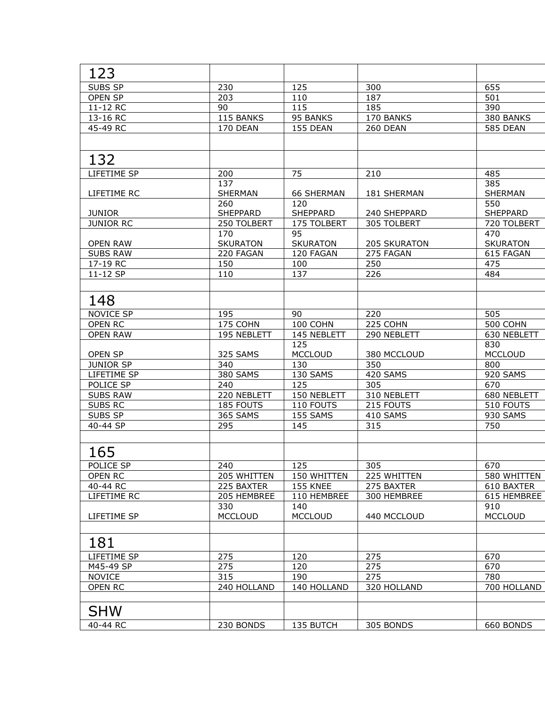| 123              |                 |                   |                     |                 |
|------------------|-----------------|-------------------|---------------------|-----------------|
| SUBS SP          | 230             | 125               | 300                 | 655             |
| OPEN SP          | 203             | 110               | 187                 | 501             |
| 11-12 RC         | 90              | 115               | 185                 | 390             |
| 13-16 RC         | 115 BANKS       | 95 BANKS          | 170 BANKS           | 380 BANKS       |
| 45-49 RC         | 170 DEAN        | 155 DEAN          | 260 DEAN            | <b>585 DEAN</b> |
|                  |                 |                   |                     |                 |
| 132              |                 |                   |                     |                 |
| LIFETIME SP      | 200             | 75                | 210                 | 485             |
|                  | 137             |                   |                     | 385             |
| LIFETIME RC      | SHERMAN         | <b>66 SHERMAN</b> | 181 SHERMAN         | SHERMAN         |
|                  | 260             | 120               |                     | 550             |
| <b>JUNIOR</b>    | SHEPPARD        | <b>SHEPPARD</b>   | 240 SHEPPARD        | <b>SHEPPARD</b> |
| <b>JUNIOR RC</b> | 250 TOLBERT     | 175 TOLBERT       | 305 TOLBERT         | 720 TOLBERT     |
|                  | 170             | 95                |                     | 470             |
| <b>OPEN RAW</b>  | <b>SKURATON</b> | <b>SKURATON</b>   | <b>205 SKURATON</b> | <b>SKURATON</b> |
| <b>SUBS RAW</b>  | 220 FAGAN       | 120 FAGAN         | 275 FAGAN           | 615 FAGAN       |
| 17-19 RC         | 150             | 100               | 250                 | 475             |
| 11-12 SP         | 110             | 137               | 226                 | 484             |
|                  |                 |                   |                     |                 |
|                  |                 |                   |                     |                 |
| 148              |                 |                   |                     |                 |
| NOVICE SP        | 195             | 90                | 220                 | 505             |
| <b>OPEN RC</b>   | 175 COHN        | 100 COHN          | 225 COHN            | <b>500 COHN</b> |
| <b>OPEN RAW</b>  | 195 NEBLETT     | 145 NEBLETT       | 290 NEBLETT         | 630 NEBLETT     |
|                  |                 | 125               |                     | 830             |
| OPEN SP          | 325 SAMS        | <b>MCCLOUD</b>    | 380 MCCLOUD         | <b>MCCLOUD</b>  |
| <b>JUNIOR SP</b> | 340             | 130               | 350                 | 800             |
| LIFETIME SP      | 380 SAMS        | 130 SAMS          | 420 SAMS            | 920 SAMS        |
| POLICE SP        | 240             | 125               | 305                 | 670             |
| <b>SUBS RAW</b>  | 220 NEBLETT     | 150 NEBLETT       | 310 NEBLETT         | 680 NEBLETT     |
| SUBS RC          | 185 FOUTS       | 110 FOUTS         | 215 FOUTS           | 510 FOUTS       |
| SUBS SP          | 365 SAMS        | 155 SAMS          | <b>410 SAMS</b>     | 930 SAMS        |
| 40-44 SP         | 295             | 145               | 315                 | 750             |
|                  |                 |                   |                     |                 |
| 165              |                 |                   |                     |                 |
| POLICE SP        | 240             | 125               | 305                 | 670             |
| OPEN RC          | 205 WHITTEN     | 150 WHITTEN       | 225 WHITTEN         | 580 WHITTEN     |
| 40-44 RC         | 225 BAXTER      | <b>155 KNEE</b>   | 275 BAXTER          | 610 BAXTER      |
| LIFETIME RC      | 205 HEMBREE     | 110 HEMBREE       | 300 HEMBREE         | 615 HEMBREE     |
|                  | 330             | 140               |                     | 910             |
| LIFETIME SP      | <b>MCCLOUD</b>  | <b>MCCLOUD</b>    | 440 MCCLOUD         | <b>MCCLOUD</b>  |
|                  |                 |                   |                     |                 |
| 181              |                 |                   |                     |                 |
| LIFETIME SP      | 275             | 120               | 275                 | 670             |
| M45-49 SP        | 275             | 120               | 275                 | 670             |
| <b>NOVICE</b>    | 315             | 190               | 275                 | 780             |
| OPEN RC          | 240 HOLLAND     | 140 HOLLAND       | 320 HOLLAND         | 700 HOLLAND     |
|                  |                 |                   |                     |                 |
| <b>SHW</b>       |                 |                   |                     |                 |
| 40-44 RC         | 230 BONDS       | 135 BUTCH         | 305 BONDS           | 660 BONDS       |
|                  |                 |                   |                     |                 |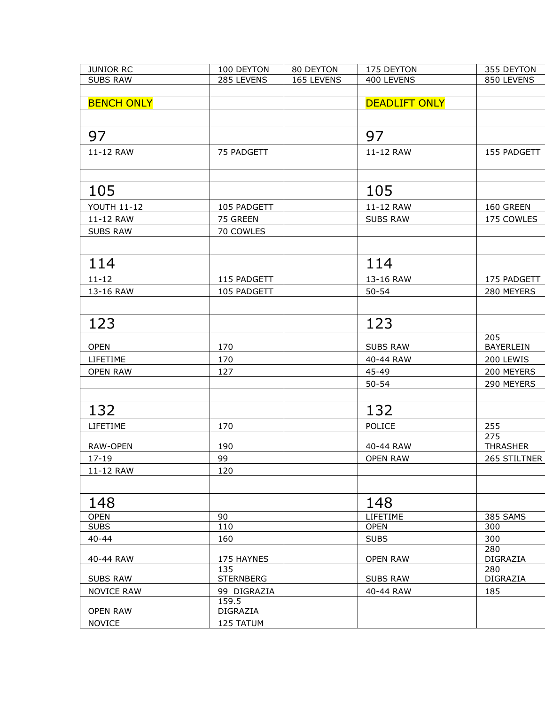| <b>JUNIOR RC</b>   | 100 DEYTON       | 80 DEYTON  | 175 DEYTON           | 355 DEYTON       |
|--------------------|------------------|------------|----------------------|------------------|
| <b>SUBS RAW</b>    | 285 LEVENS       | 165 LEVENS | 400 LEVENS           | 850 LEVENS       |
|                    |                  |            |                      |                  |
| <b>BENCH ONLY</b>  |                  |            | <b>DEADLIFT ONLY</b> |                  |
|                    |                  |            |                      |                  |
|                    |                  |            |                      |                  |
| 97                 |                  |            | 97                   |                  |
| 11-12 RAW          | 75 PADGETT       |            | 11-12 RAW            | 155 PADGETT      |
|                    |                  |            |                      |                  |
|                    |                  |            |                      |                  |
| 105                |                  |            | 105                  |                  |
|                    |                  |            |                      |                  |
| <b>YOUTH 11-12</b> | 105 PADGETT      |            | 11-12 RAW            | 160 GREEN        |
| 11-12 RAW          | 75 GREEN         |            | <b>SUBS RAW</b>      | 175 COWLES       |
| <b>SUBS RAW</b>    | 70 COWLES        |            |                      |                  |
|                    |                  |            |                      |                  |
|                    |                  |            |                      |                  |
| 114                |                  |            | 114                  |                  |
| $11 - 12$          | 115 PADGETT      |            | 13-16 RAW            | 175 PADGETT      |
| 13-16 RAW          | 105 PADGETT      |            | $50 - 54$            | 280 MEYERS       |
|                    |                  |            |                      |                  |
|                    |                  |            |                      |                  |
| 123                |                  |            | 123                  |                  |
|                    |                  |            |                      | 205              |
| <b>OPEN</b>        | 170              |            | <b>SUBS RAW</b>      | <b>BAYERLEIN</b> |
| LIFETIME           | 170              |            | 40-44 RAW            | 200 LEWIS        |
| <b>OPEN RAW</b>    | 127              |            | 45-49                | 200 MEYERS       |
|                    |                  |            | $50 - 54$            | 290 MEYERS       |
|                    |                  |            |                      |                  |
| 132                |                  |            | 132                  |                  |
| LIFETIME           | 170              |            | POLICE               | 255              |
|                    |                  |            |                      | $\overline{275}$ |
| RAW-OPEN           | 190              |            | 40-44 RAW            | <b>THRASHER</b>  |
| $17 - 19$          | 99               |            | <b>OPEN RAW</b>      | 265 STILTNER     |
| 11-12 RAW          | 120              |            |                      |                  |
|                    |                  |            |                      |                  |
|                    |                  |            |                      |                  |
| 148                |                  |            | 148                  |                  |
| <b>OPEN</b>        | 90               |            | LIFETIME             | <b>385 SAMS</b>  |
| <b>SUBS</b>        | 110              |            | <b>OPEN</b>          | 300              |
| $40 - 44$          | 160              |            | <b>SUBS</b>          | 300              |
| 40-44 RAW          | 175 HAYNES       |            | <b>OPEN RAW</b>      | 280<br>DIGRAZIA  |
|                    | 135              |            |                      | 280              |
| <b>SUBS RAW</b>    | <b>STERNBERG</b> |            | <b>SUBS RAW</b>      | DIGRAZIA         |
| <b>NOVICE RAW</b>  | 99 DIGRAZIA      |            | 40-44 RAW            | 185              |
|                    | 159.5            |            |                      |                  |
| <b>OPEN RAW</b>    | DIGRAZIA         |            |                      |                  |
| <b>NOVICE</b>      | 125 TATUM        |            |                      |                  |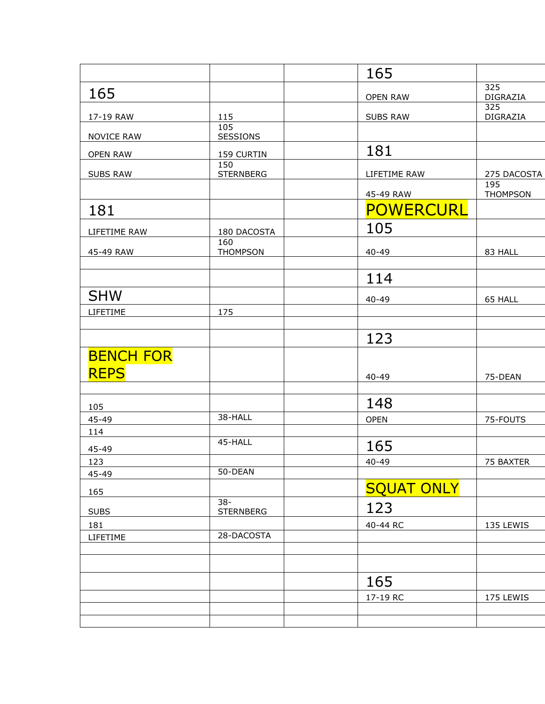|                   |                            | 165               |                 |
|-------------------|----------------------------|-------------------|-----------------|
| 165               |                            | <b>OPEN RAW</b>   | 325<br>DIGRAZIA |
| 17-19 RAW         | 115                        | <b>SUBS RAW</b>   | 325<br>DIGRAZIA |
| <b>NOVICE RAW</b> | 105<br><b>SESSIONS</b>     |                   |                 |
| <b>OPEN RAW</b>   | 159 CURTIN                 | 181               |                 |
| <b>SUBS RAW</b>   | 150<br><b>STERNBERG</b>    | LIFETIME RAW      | 275 DACOSTA     |
|                   |                            | 45-49 RAW         | 195<br>THOMPSON |
| 181               |                            | <b>POWERCURL</b>  |                 |
| LIFETIME RAW      | 180 DACOSTA                | 105               |                 |
| 45-49 RAW         | 160<br><b>THOMPSON</b>     | 40-49             | 83 HALL         |
|                   |                            |                   |                 |
|                   |                            | 114               |                 |
| <b>SHW</b>        |                            | 40-49             | 65 HALL         |
| LIFETIME          | 175                        |                   |                 |
|                   |                            | 123               |                 |
| <b>BENCH FOR</b>  |                            |                   |                 |
| <b>REPS</b>       |                            | 40-49             | 75-DEAN         |
|                   |                            |                   |                 |
| 105               |                            | 148               |                 |
| 45-49             | 38-HALL                    | OPEN              | 75-FOUTS        |
| 114               |                            |                   |                 |
| 45-49             | 45-HALL                    | 165               |                 |
| 123               |                            | 40-49             | 75 BAXTER       |
| 45-49             | 50-DEAN                    |                   |                 |
| 165               |                            | <b>SQUAT ONLY</b> |                 |
| <b>SUBS</b>       | $38 -$<br><b>STERNBERG</b> | 123               |                 |
| 181               |                            | 40-44 RC          | 135 LEWIS       |
| <b>LIFETIME</b>   | 28-DACOSTA                 |                   |                 |
|                   |                            |                   |                 |
|                   |                            |                   |                 |
|                   |                            | 165               |                 |
|                   |                            | 17-19 RC          | 175 LEWIS       |
|                   |                            |                   |                 |
|                   |                            |                   |                 |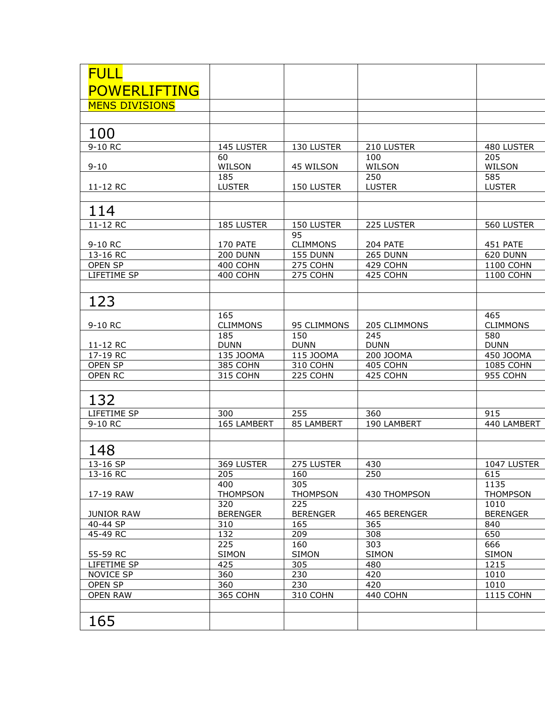| <b>POWERLIFTING</b><br><b>MENS DIVISIONS</b><br>100<br>9-10 RC<br>145 LUSTER<br>130 LUSTER<br>210 LUSTER<br>480 LUSTER<br>100<br>205<br>60<br>$9 - 10$<br>WILSON<br>45 WILSON<br>WILSON<br>WILSON<br>185<br>250<br>585<br><b>LUSTER</b><br><b>LUSTER</b><br>11-12 RC<br><b>LUSTER</b><br>150 LUSTER<br>114<br>11-12 RC<br>185 LUSTER<br>150 LUSTER<br>225 LUSTER<br>560 LUSTER<br>95<br>9-10 RC<br>170 PATE<br><b>CLIMMONS</b><br>204 PATE<br>451 PATE<br><b>200 DUNN</b><br><b>155 DUNN</b><br>265 DUNN<br>620 DUNN<br>13-16 RC<br>OPEN SP<br>400 COHN<br>275 COHN<br>429 COHN<br>1100 COHN<br>LIFETIME SP<br>400 COHN<br>275 COHN<br>425 COHN<br>1100 COHN<br>123<br>165<br>465<br>9-10 RC<br><b>CLIMMONS</b><br><b>CLIMMONS</b><br>95 CLIMMONS<br>205 CLIMMONS<br>185<br>150<br>245<br>580<br><b>DUNN</b><br><b>DUNN</b><br><b>DUNN</b><br><b>DUNN</b><br>11-12 RC<br>135 JOOMA<br>115 JOOMA<br>200 JOOMA<br>17-19 RC<br>450 JOOMA<br>OPEN SP<br>385 COHN<br>310 COHN<br>405 COHN<br>1085 COHN<br>315 COHN<br>225 COHN<br>425 COHN<br>955 COHN<br><b>OPEN RC</b><br>132<br>LIFETIME SP<br>255<br>360<br>300<br>915<br>165 LAMBERT<br>85 LAMBERT<br>190 LAMBERT<br>9-10 RC<br>440 LAMBERT<br>148<br>13-16 SP<br>369 LUSTER<br>275 LUSTER<br>430<br>1047 LUSTER<br>205<br>250<br>615<br>13-16 RC<br>160<br>400<br>305<br>1135<br><b>THOMPSON</b><br><b>THOMPSON</b><br>17-19 RAW<br>430 THOMPSON<br><b>THOMPSON</b><br>225<br>320<br>1010<br><b>BERENGER</b><br><b>BERENGER</b><br><b>BERENGER</b><br>465 BERENGER<br><b>JUNIOR RAW</b><br>365<br>40-44 SP<br>310<br>165<br>840<br>209<br>650<br>45-49 RC<br>132<br>308<br>225<br>160<br>303<br>666<br>SIMON<br><b>SIMON</b><br><b>SIMON</b><br>SIMON<br>55-59 RC<br>425<br>305<br>480<br>LIFETIME SP<br>1215<br>360<br>230<br>420<br>NOVICE SP<br>1010<br>360<br>230<br>420<br>1010<br>OPEN SP<br><b>OPEN RAW</b><br>365 COHN<br>310 COHN<br>440 COHN<br>1115 COHN |             |  |  |
|----------------------------------------------------------------------------------------------------------------------------------------------------------------------------------------------------------------------------------------------------------------------------------------------------------------------------------------------------------------------------------------------------------------------------------------------------------------------------------------------------------------------------------------------------------------------------------------------------------------------------------------------------------------------------------------------------------------------------------------------------------------------------------------------------------------------------------------------------------------------------------------------------------------------------------------------------------------------------------------------------------------------------------------------------------------------------------------------------------------------------------------------------------------------------------------------------------------------------------------------------------------------------------------------------------------------------------------------------------------------------------------------------------------------------------------------------------------------------------------------------------------------------------------------------------------------------------------------------------------------------------------------------------------------------------------------------------------------------------------------------------------------------------------------------------------------------------------------------------------------------------------------------------------------|-------------|--|--|
|                                                                                                                                                                                                                                                                                                                                                                                                                                                                                                                                                                                                                                                                                                                                                                                                                                                                                                                                                                                                                                                                                                                                                                                                                                                                                                                                                                                                                                                                                                                                                                                                                                                                                                                                                                                                                                                                                                                      | <b>FULL</b> |  |  |
|                                                                                                                                                                                                                                                                                                                                                                                                                                                                                                                                                                                                                                                                                                                                                                                                                                                                                                                                                                                                                                                                                                                                                                                                                                                                                                                                                                                                                                                                                                                                                                                                                                                                                                                                                                                                                                                                                                                      |             |  |  |
|                                                                                                                                                                                                                                                                                                                                                                                                                                                                                                                                                                                                                                                                                                                                                                                                                                                                                                                                                                                                                                                                                                                                                                                                                                                                                                                                                                                                                                                                                                                                                                                                                                                                                                                                                                                                                                                                                                                      |             |  |  |
|                                                                                                                                                                                                                                                                                                                                                                                                                                                                                                                                                                                                                                                                                                                                                                                                                                                                                                                                                                                                                                                                                                                                                                                                                                                                                                                                                                                                                                                                                                                                                                                                                                                                                                                                                                                                                                                                                                                      |             |  |  |
|                                                                                                                                                                                                                                                                                                                                                                                                                                                                                                                                                                                                                                                                                                                                                                                                                                                                                                                                                                                                                                                                                                                                                                                                                                                                                                                                                                                                                                                                                                                                                                                                                                                                                                                                                                                                                                                                                                                      |             |  |  |
|                                                                                                                                                                                                                                                                                                                                                                                                                                                                                                                                                                                                                                                                                                                                                                                                                                                                                                                                                                                                                                                                                                                                                                                                                                                                                                                                                                                                                                                                                                                                                                                                                                                                                                                                                                                                                                                                                                                      |             |  |  |
|                                                                                                                                                                                                                                                                                                                                                                                                                                                                                                                                                                                                                                                                                                                                                                                                                                                                                                                                                                                                                                                                                                                                                                                                                                                                                                                                                                                                                                                                                                                                                                                                                                                                                                                                                                                                                                                                                                                      |             |  |  |
|                                                                                                                                                                                                                                                                                                                                                                                                                                                                                                                                                                                                                                                                                                                                                                                                                                                                                                                                                                                                                                                                                                                                                                                                                                                                                                                                                                                                                                                                                                                                                                                                                                                                                                                                                                                                                                                                                                                      |             |  |  |
|                                                                                                                                                                                                                                                                                                                                                                                                                                                                                                                                                                                                                                                                                                                                                                                                                                                                                                                                                                                                                                                                                                                                                                                                                                                                                                                                                                                                                                                                                                                                                                                                                                                                                                                                                                                                                                                                                                                      |             |  |  |
|                                                                                                                                                                                                                                                                                                                                                                                                                                                                                                                                                                                                                                                                                                                                                                                                                                                                                                                                                                                                                                                                                                                                                                                                                                                                                                                                                                                                                                                                                                                                                                                                                                                                                                                                                                                                                                                                                                                      |             |  |  |
|                                                                                                                                                                                                                                                                                                                                                                                                                                                                                                                                                                                                                                                                                                                                                                                                                                                                                                                                                                                                                                                                                                                                                                                                                                                                                                                                                                                                                                                                                                                                                                                                                                                                                                                                                                                                                                                                                                                      |             |  |  |
|                                                                                                                                                                                                                                                                                                                                                                                                                                                                                                                                                                                                                                                                                                                                                                                                                                                                                                                                                                                                                                                                                                                                                                                                                                                                                                                                                                                                                                                                                                                                                                                                                                                                                                                                                                                                                                                                                                                      |             |  |  |
|                                                                                                                                                                                                                                                                                                                                                                                                                                                                                                                                                                                                                                                                                                                                                                                                                                                                                                                                                                                                                                                                                                                                                                                                                                                                                                                                                                                                                                                                                                                                                                                                                                                                                                                                                                                                                                                                                                                      |             |  |  |
|                                                                                                                                                                                                                                                                                                                                                                                                                                                                                                                                                                                                                                                                                                                                                                                                                                                                                                                                                                                                                                                                                                                                                                                                                                                                                                                                                                                                                                                                                                                                                                                                                                                                                                                                                                                                                                                                                                                      |             |  |  |
|                                                                                                                                                                                                                                                                                                                                                                                                                                                                                                                                                                                                                                                                                                                                                                                                                                                                                                                                                                                                                                                                                                                                                                                                                                                                                                                                                                                                                                                                                                                                                                                                                                                                                                                                                                                                                                                                                                                      |             |  |  |
|                                                                                                                                                                                                                                                                                                                                                                                                                                                                                                                                                                                                                                                                                                                                                                                                                                                                                                                                                                                                                                                                                                                                                                                                                                                                                                                                                                                                                                                                                                                                                                                                                                                                                                                                                                                                                                                                                                                      |             |  |  |
|                                                                                                                                                                                                                                                                                                                                                                                                                                                                                                                                                                                                                                                                                                                                                                                                                                                                                                                                                                                                                                                                                                                                                                                                                                                                                                                                                                                                                                                                                                                                                                                                                                                                                                                                                                                                                                                                                                                      |             |  |  |
|                                                                                                                                                                                                                                                                                                                                                                                                                                                                                                                                                                                                                                                                                                                                                                                                                                                                                                                                                                                                                                                                                                                                                                                                                                                                                                                                                                                                                                                                                                                                                                                                                                                                                                                                                                                                                                                                                                                      |             |  |  |
|                                                                                                                                                                                                                                                                                                                                                                                                                                                                                                                                                                                                                                                                                                                                                                                                                                                                                                                                                                                                                                                                                                                                                                                                                                                                                                                                                                                                                                                                                                                                                                                                                                                                                                                                                                                                                                                                                                                      |             |  |  |
|                                                                                                                                                                                                                                                                                                                                                                                                                                                                                                                                                                                                                                                                                                                                                                                                                                                                                                                                                                                                                                                                                                                                                                                                                                                                                                                                                                                                                                                                                                                                                                                                                                                                                                                                                                                                                                                                                                                      |             |  |  |
|                                                                                                                                                                                                                                                                                                                                                                                                                                                                                                                                                                                                                                                                                                                                                                                                                                                                                                                                                                                                                                                                                                                                                                                                                                                                                                                                                                                                                                                                                                                                                                                                                                                                                                                                                                                                                                                                                                                      |             |  |  |
|                                                                                                                                                                                                                                                                                                                                                                                                                                                                                                                                                                                                                                                                                                                                                                                                                                                                                                                                                                                                                                                                                                                                                                                                                                                                                                                                                                                                                                                                                                                                                                                                                                                                                                                                                                                                                                                                                                                      |             |  |  |
|                                                                                                                                                                                                                                                                                                                                                                                                                                                                                                                                                                                                                                                                                                                                                                                                                                                                                                                                                                                                                                                                                                                                                                                                                                                                                                                                                                                                                                                                                                                                                                                                                                                                                                                                                                                                                                                                                                                      |             |  |  |
|                                                                                                                                                                                                                                                                                                                                                                                                                                                                                                                                                                                                                                                                                                                                                                                                                                                                                                                                                                                                                                                                                                                                                                                                                                                                                                                                                                                                                                                                                                                                                                                                                                                                                                                                                                                                                                                                                                                      |             |  |  |
|                                                                                                                                                                                                                                                                                                                                                                                                                                                                                                                                                                                                                                                                                                                                                                                                                                                                                                                                                                                                                                                                                                                                                                                                                                                                                                                                                                                                                                                                                                                                                                                                                                                                                                                                                                                                                                                                                                                      |             |  |  |
|                                                                                                                                                                                                                                                                                                                                                                                                                                                                                                                                                                                                                                                                                                                                                                                                                                                                                                                                                                                                                                                                                                                                                                                                                                                                                                                                                                                                                                                                                                                                                                                                                                                                                                                                                                                                                                                                                                                      |             |  |  |
|                                                                                                                                                                                                                                                                                                                                                                                                                                                                                                                                                                                                                                                                                                                                                                                                                                                                                                                                                                                                                                                                                                                                                                                                                                                                                                                                                                                                                                                                                                                                                                                                                                                                                                                                                                                                                                                                                                                      |             |  |  |
|                                                                                                                                                                                                                                                                                                                                                                                                                                                                                                                                                                                                                                                                                                                                                                                                                                                                                                                                                                                                                                                                                                                                                                                                                                                                                                                                                                                                                                                                                                                                                                                                                                                                                                                                                                                                                                                                                                                      |             |  |  |
|                                                                                                                                                                                                                                                                                                                                                                                                                                                                                                                                                                                                                                                                                                                                                                                                                                                                                                                                                                                                                                                                                                                                                                                                                                                                                                                                                                                                                                                                                                                                                                                                                                                                                                                                                                                                                                                                                                                      |             |  |  |
|                                                                                                                                                                                                                                                                                                                                                                                                                                                                                                                                                                                                                                                                                                                                                                                                                                                                                                                                                                                                                                                                                                                                                                                                                                                                                                                                                                                                                                                                                                                                                                                                                                                                                                                                                                                                                                                                                                                      |             |  |  |
|                                                                                                                                                                                                                                                                                                                                                                                                                                                                                                                                                                                                                                                                                                                                                                                                                                                                                                                                                                                                                                                                                                                                                                                                                                                                                                                                                                                                                                                                                                                                                                                                                                                                                                                                                                                                                                                                                                                      |             |  |  |
|                                                                                                                                                                                                                                                                                                                                                                                                                                                                                                                                                                                                                                                                                                                                                                                                                                                                                                                                                                                                                                                                                                                                                                                                                                                                                                                                                                                                                                                                                                                                                                                                                                                                                                                                                                                                                                                                                                                      |             |  |  |
|                                                                                                                                                                                                                                                                                                                                                                                                                                                                                                                                                                                                                                                                                                                                                                                                                                                                                                                                                                                                                                                                                                                                                                                                                                                                                                                                                                                                                                                                                                                                                                                                                                                                                                                                                                                                                                                                                                                      |             |  |  |
|                                                                                                                                                                                                                                                                                                                                                                                                                                                                                                                                                                                                                                                                                                                                                                                                                                                                                                                                                                                                                                                                                                                                                                                                                                                                                                                                                                                                                                                                                                                                                                                                                                                                                                                                                                                                                                                                                                                      |             |  |  |
|                                                                                                                                                                                                                                                                                                                                                                                                                                                                                                                                                                                                                                                                                                                                                                                                                                                                                                                                                                                                                                                                                                                                                                                                                                                                                                                                                                                                                                                                                                                                                                                                                                                                                                                                                                                                                                                                                                                      |             |  |  |
|                                                                                                                                                                                                                                                                                                                                                                                                                                                                                                                                                                                                                                                                                                                                                                                                                                                                                                                                                                                                                                                                                                                                                                                                                                                                                                                                                                                                                                                                                                                                                                                                                                                                                                                                                                                                                                                                                                                      |             |  |  |
|                                                                                                                                                                                                                                                                                                                                                                                                                                                                                                                                                                                                                                                                                                                                                                                                                                                                                                                                                                                                                                                                                                                                                                                                                                                                                                                                                                                                                                                                                                                                                                                                                                                                                                                                                                                                                                                                                                                      |             |  |  |
|                                                                                                                                                                                                                                                                                                                                                                                                                                                                                                                                                                                                                                                                                                                                                                                                                                                                                                                                                                                                                                                                                                                                                                                                                                                                                                                                                                                                                                                                                                                                                                                                                                                                                                                                                                                                                                                                                                                      |             |  |  |
|                                                                                                                                                                                                                                                                                                                                                                                                                                                                                                                                                                                                                                                                                                                                                                                                                                                                                                                                                                                                                                                                                                                                                                                                                                                                                                                                                                                                                                                                                                                                                                                                                                                                                                                                                                                                                                                                                                                      |             |  |  |
|                                                                                                                                                                                                                                                                                                                                                                                                                                                                                                                                                                                                                                                                                                                                                                                                                                                                                                                                                                                                                                                                                                                                                                                                                                                                                                                                                                                                                                                                                                                                                                                                                                                                                                                                                                                                                                                                                                                      |             |  |  |
|                                                                                                                                                                                                                                                                                                                                                                                                                                                                                                                                                                                                                                                                                                                                                                                                                                                                                                                                                                                                                                                                                                                                                                                                                                                                                                                                                                                                                                                                                                                                                                                                                                                                                                                                                                                                                                                                                                                      |             |  |  |
|                                                                                                                                                                                                                                                                                                                                                                                                                                                                                                                                                                                                                                                                                                                                                                                                                                                                                                                                                                                                                                                                                                                                                                                                                                                                                                                                                                                                                                                                                                                                                                                                                                                                                                                                                                                                                                                                                                                      |             |  |  |
|                                                                                                                                                                                                                                                                                                                                                                                                                                                                                                                                                                                                                                                                                                                                                                                                                                                                                                                                                                                                                                                                                                                                                                                                                                                                                                                                                                                                                                                                                                                                                                                                                                                                                                                                                                                                                                                                                                                      |             |  |  |
|                                                                                                                                                                                                                                                                                                                                                                                                                                                                                                                                                                                                                                                                                                                                                                                                                                                                                                                                                                                                                                                                                                                                                                                                                                                                                                                                                                                                                                                                                                                                                                                                                                                                                                                                                                                                                                                                                                                      |             |  |  |
|                                                                                                                                                                                                                                                                                                                                                                                                                                                                                                                                                                                                                                                                                                                                                                                                                                                                                                                                                                                                                                                                                                                                                                                                                                                                                                                                                                                                                                                                                                                                                                                                                                                                                                                                                                                                                                                                                                                      |             |  |  |
|                                                                                                                                                                                                                                                                                                                                                                                                                                                                                                                                                                                                                                                                                                                                                                                                                                                                                                                                                                                                                                                                                                                                                                                                                                                                                                                                                                                                                                                                                                                                                                                                                                                                                                                                                                                                                                                                                                                      |             |  |  |
|                                                                                                                                                                                                                                                                                                                                                                                                                                                                                                                                                                                                                                                                                                                                                                                                                                                                                                                                                                                                                                                                                                                                                                                                                                                                                                                                                                                                                                                                                                                                                                                                                                                                                                                                                                                                                                                                                                                      |             |  |  |
|                                                                                                                                                                                                                                                                                                                                                                                                                                                                                                                                                                                                                                                                                                                                                                                                                                                                                                                                                                                                                                                                                                                                                                                                                                                                                                                                                                                                                                                                                                                                                                                                                                                                                                                                                                                                                                                                                                                      |             |  |  |
|                                                                                                                                                                                                                                                                                                                                                                                                                                                                                                                                                                                                                                                                                                                                                                                                                                                                                                                                                                                                                                                                                                                                                                                                                                                                                                                                                                                                                                                                                                                                                                                                                                                                                                                                                                                                                                                                                                                      |             |  |  |
|                                                                                                                                                                                                                                                                                                                                                                                                                                                                                                                                                                                                                                                                                                                                                                                                                                                                                                                                                                                                                                                                                                                                                                                                                                                                                                                                                                                                                                                                                                                                                                                                                                                                                                                                                                                                                                                                                                                      |             |  |  |
|                                                                                                                                                                                                                                                                                                                                                                                                                                                                                                                                                                                                                                                                                                                                                                                                                                                                                                                                                                                                                                                                                                                                                                                                                                                                                                                                                                                                                                                                                                                                                                                                                                                                                                                                                                                                                                                                                                                      |             |  |  |
|                                                                                                                                                                                                                                                                                                                                                                                                                                                                                                                                                                                                                                                                                                                                                                                                                                                                                                                                                                                                                                                                                                                                                                                                                                                                                                                                                                                                                                                                                                                                                                                                                                                                                                                                                                                                                                                                                                                      | 165         |  |  |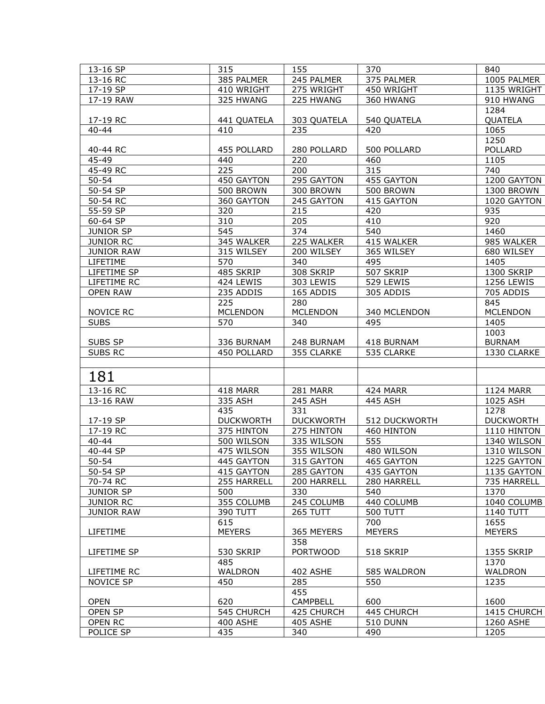| 13-16 SP             | 315                       | 155                       | 370             | 840               |
|----------------------|---------------------------|---------------------------|-----------------|-------------------|
| 13-16 RC             | 385 PALMER                | 245 PALMER                | 375 PALMER      | 1005 PALMER       |
| 17-19 SP             | 410 WRIGHT                | 275 WRIGHT                | 450 WRIGHT      | 1135 WRIGHT       |
| 17-19 RAW            | 325 HWANG                 | 225 HWANG                 | 360 HWANG       | 910 HWANG         |
|                      |                           |                           |                 | 1284              |
| 17-19 RC             | 441 QUATELA               | 303 QUATELA               | 540 QUATELA     | QUATELA           |
| $40 - 44$            | 410                       | 235                       | 420             | 1065              |
|                      |                           |                           |                 | 1250              |
| 40-44 RC             | 455 POLLARD               | 280 POLLARD               | 500 POLLARD     | <b>POLLARD</b>    |
| 45-49                | 440                       | 220                       | 460             | 1105              |
| 45-49 RC             | 225                       | 200                       | 315             | 740               |
| $50 - 54$            | 450 GAYTON                | 295 GAYTON                | 455 GAYTON      | 1200 GAYTON       |
| 50-54 SP             | 500 BROWN                 | 300 BROWN                 | 500 BROWN       | <b>1300 BROWN</b> |
| 50-54 RC             | 360 GAYTON                | 245 GAYTON                | 415 GAYTON      | 1020 GAYTON       |
| 55-59 SP             | 320                       | 215                       | 420             | 935               |
| 60-64 SP             | 310                       | 205                       | 410             | 920               |
| JUNIOR SP            | 545                       | 374                       | 540             | 1460              |
| <b>JUNIOR RC</b>     | 345 WALKER                | 225 WALKER                | 415 WALKER      | 985 WALKER        |
| <b>JUNIOR RAW</b>    | 315 WILSEY                | 200 WILSEY                | 365 WILSEY      | 680 WILSEY        |
| LIFETIME             | 570                       | 340                       | 495             | 1405              |
| LIFETIME SP          | 485 SKRIP                 | 308 SKRIP                 | 507 SKRIP       | 1300 SKRIP        |
| LIFETIME RC          | 424 LEWIS                 | 303 LEWIS                 | 529 LEWIS       | 1256 LEWIS        |
| <b>OPEN RAW</b>      | 235 ADDIS                 | 165 ADDIS                 | 305 ADDIS       | 705 ADDIS         |
|                      | 225                       | 280                       |                 | 845               |
| NOVICE RC            | <b>MCLENDON</b>           | <b>MCLENDON</b>           | 340 MCLENDON    | <b>MCLENDON</b>   |
| <b>SUBS</b>          | 570                       | 340                       | 495             | 1405              |
|                      |                           |                           |                 | 1003              |
| SUBS SP              | 336 BURNAM                | 248 BURNAM                | 418 BURNAM      | <b>BURNAM</b>     |
| <b>SUBS RC</b>       | 450 POLLARD               | 355 CLARKE                | 535 CLARKE      | 1330 CLARKE       |
|                      |                           |                           |                 |                   |
| 181                  |                           |                           |                 |                   |
| 13-16 RC             | 418 MARR                  | 281 MARR                  | 424 MARR        | <b>1124 MARR</b>  |
| 13-16 RAW            | 335 ASH                   | 245 ASH                   | 445 ASH         | 1025 ASH          |
|                      | 435                       | 331                       |                 | 1278              |
| 17-19 SP             | <b>DUCKWORTH</b>          | <b>DUCKWORTH</b>          | 512 DUCKWORTH   | <b>DUCKWORTH</b>  |
| 17-19 RC             | 375 HINTON                | 275 HINTON                | 460 HINTON      | 1110 HINTON       |
| $40 - 44$            | 500 WILSON                | 335 WILSON                | 555             | 1340 WILSON       |
| 40-44 SP             | 475 WILSON                | 355 WILSON                | 480 WILSON      | 1310 WILSON       |
| $50 - 54$            | 445 GAYTON                | 315 GAYTON                | 465 GAYTON      | 1225 GAYTON       |
|                      |                           |                           | 435 GAYTON      | 1135 GAYTON       |
| 50-54 SP<br>70-74 RC | 415 GAYTON<br>255 HARRELL | 285 GAYTON<br>200 HARRELL | 280 HARRELL     | 735 HARRELL       |
| <b>JUNIOR SP</b>     | 500                       | 330                       | 540             | 1370              |
| <b>JUNIOR RC</b>     | 355 COLUMB                | 245 COLUMB                | 440 COLUMB      | 1040 COLUMB       |
| <b>JUNIOR RAW</b>    | 390 TUTT                  | <b>265 TUTT</b>           | <b>500 TUTT</b> | <b>1140 TUTT</b>  |
|                      | 615                       |                           | 700             | 1655              |
| LIFETIME             | <b>MEYERS</b>             | 365 MEYERS                | <b>MEYERS</b>   | <b>MEYERS</b>     |
|                      |                           | 358                       |                 |                   |
| LIFETIME SP          | 530 SKRIP                 | <b>PORTWOOD</b>           | 518 SKRIP       | <b>1355 SKRIP</b> |
|                      | 485                       |                           |                 | 1370              |
| LIFETIME RC          | <b>WALDRON</b>            | 402 ASHE                  | 585 WALDRON     | <b>WALDRON</b>    |
| NOVICE SP            | 450                       | 285                       | 550             | 1235              |
|                      |                           | 455                       |                 |                   |
| <b>OPEN</b>          | 620                       | CAMPBELL                  | 600             | 1600              |
| OPEN SP              | 545 CHURCH                | 425 CHURCH                | 445 CHURCH      | 1415 CHURCH       |
| OPEN RC              | 400 ASHE                  | 405 ASHE                  | <b>510 DUNN</b> | 1260 ASHE         |
| POLICE SP            | 435                       | 340                       | 490             | 1205              |
|                      |                           |                           |                 |                   |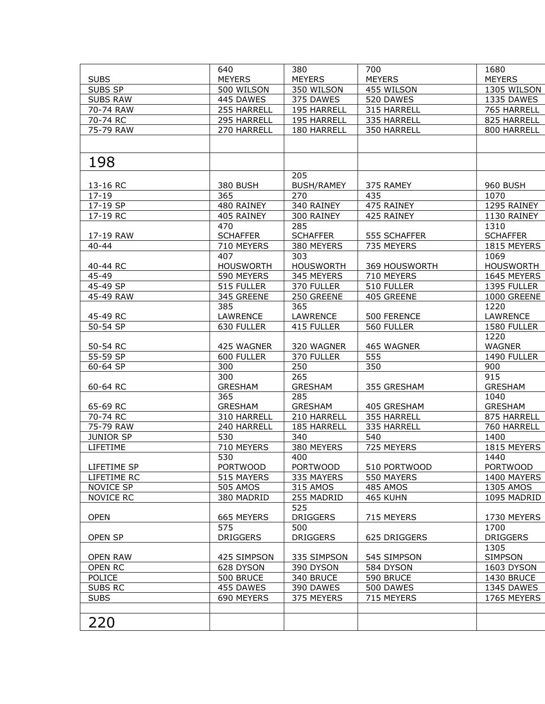|                  | 640              | 380               | 700                    | 1680                            |
|------------------|------------------|-------------------|------------------------|---------------------------------|
| <b>SUBS</b>      | <b>MEYERS</b>    | <b>MEYERS</b>     | <b>MEYERS</b>          | <b>MEYERS</b>                   |
| SUBS SP          | 500 WILSON       | 350 WILSON        | 455 WILSON             | 1305 WILSON                     |
| <b>SUBS RAW</b>  | 445 DAWES        | 375 DAWES         | 520 DAWES              | 1335 DAWES                      |
| 70-74 RAW        | 255 HARRELL      | 195 HARRELL       | 315 HARRELL            | 765 HARRELL                     |
| 70-74 RC         | 295 HARRELL      | 195 HARRELL       | 335 HARRELL            | 825 HARRELL                     |
| 75-79 RAW        | 270 HARRELL      | 180 HARRELL       | 350 HARRELL            | 800 HARRELL                     |
|                  |                  |                   |                        |                                 |
|                  |                  |                   |                        |                                 |
| 198              |                  |                   |                        |                                 |
|                  |                  | 205               |                        |                                 |
| 13-16 RC         | 380 BUSH         | <b>BUSH/RAMEY</b> | 375 RAMEY              | 960 BUSH                        |
| $17 - 19$        | 365              | 270               | 435                    | 1070                            |
| 17-19 SP         | 480 RAINEY       | 340 RAINEY        | 475 RAINEY             | 1295 RAINEY                     |
| 17-19 RC         | 405 RAINEY       | 300 RAINEY        | 425 RAINEY             | 1130 RAINEY                     |
|                  | 470              | 285               |                        | 1310                            |
| 17-19 RAW        | <b>SCHAFFER</b>  | <b>SCHAFFER</b>   | 555 SCHAFFER           | <b>SCHAFFER</b>                 |
| $40 - 44$        | 710 MEYERS       | 380 MEYERS        | 735 MEYERS             | 1815 MEYERS                     |
|                  | 407              | 303               |                        | 1069                            |
| 40-44 RC         | <b>HOUSWORTH</b> | <b>HOUSWORTH</b>  | 369 HOUSWORTH          | <b>HOUSWORTH</b>                |
| 45-49            | 590 MEYERS       | 345 MEYERS        | 710 MEYERS             | 1645 MEYERS                     |
| 45-49 SP         | 515 FULLER       | 370 FULLER        | 510 FULLER             | 1395 FULLER                     |
| 45-49 RAW        | 345 GREENE       | 250 GREENE        | 405 GREENE             | 1000 GREENE                     |
|                  | 385              | 365               |                        | 1220                            |
| 45-49 RC         | <b>LAWRENCE</b>  | LAWRENCE          | 500 FERENCE            | LAWRENCE                        |
| 50-54 SP         | 630 FULLER       | 415 FULLER        | 560 FULLER             | 1580 FULLER                     |
|                  |                  |                   |                        | 1220                            |
| 50-54 RC         | 425 WAGNER       | 320 WAGNER        | 465 WAGNER             | WAGNER                          |
| 55-59 SP         | 600 FULLER       | 370 FULLER        | 555                    | 1490 FULLER                     |
| 60-64 SP         | 300              | 250               | 350                    | 900                             |
|                  | 300              | 265               |                        | 915                             |
| 60-64 RC         | <b>GRESHAM</b>   | <b>GRESHAM</b>    | 355 GRESHAM            | <b>GRESHAM</b>                  |
|                  | 365              | 285               |                        | 1040                            |
| 65-69 RC         | <b>GRESHAM</b>   | GRESHAM           | 405 GRESHAM            | <b>GRESHAM</b>                  |
| 70-74 RC         | 310 HARRELL      | 210 HARRELL       | 355 HARRELL            | 875 HARRELL                     |
| 75-79 RAW        | 240 HARRELL      | 185 HARRELL       | 335 HARRELL            | 760 HARRELL                     |
| <b>JUNIOR SP</b> | 530              | 340               | 540                    | 1400                            |
| LIFETIME         | 710 MEYERS       | 380 MEYERS        | 725 MEYERS             | 1815 MEYERS                     |
|                  | 530              | 400               |                        | 1440                            |
| LIFETIME SP      | <b>PORTWOOD</b>  | <b>PORTWOOD</b>   | 510 PORTWOOD           | <b>PORTWOOD</b>                 |
| LIFETIME RC      | 515 MAYERS       | 335 MAYERS        | 550 MAYERS             | 1400 MAYERS                     |
| NOVICE SP        | <b>505 AMOS</b>  | 315 AMOS          | 485 AMOS               | 1305 AMOS                       |
| NOVICE RC        | 380 MADRID       | 255 MADRID        | 465 KUHN               | 1095 MADRID                     |
|                  |                  | 525               |                        |                                 |
| <b>OPEN</b>      | 665 MEYERS       | <b>DRIGGERS</b>   | 715 MEYERS             | 1730 MEYERS                     |
|                  | 575              | 500               |                        | 1700                            |
| OPEN SP          | <b>DRIGGERS</b>  | <b>DRIGGERS</b>   | 625 DRIGGERS           | <b>DRIGGERS</b>                 |
| <b>OPEN RAW</b>  | 425 SIMPSON      | 335 SIMPSON       | 545 SIMPSON            | 1305<br><b>SIMPSON</b>          |
| OPEN RC          | 628 DYSON        | 390 DYSON         | 584 DYSON              | 1603 DYSON                      |
| <b>POLICE</b>    | 500 BRUCE        | 340 BRUCE         |                        |                                 |
| SUBS RC          | 455 DAWES        | 390 DAWES         | 590 BRUCE<br>500 DAWES | <b>1430 BRUCE</b><br>1345 DAWES |
|                  |                  |                   |                        |                                 |
| <b>SUBS</b>      | 690 MEYERS       | 375 MEYERS        | 715 MEYERS             | 1765 MEYERS                     |
|                  |                  |                   |                        |                                 |
| 220              |                  |                   |                        |                                 |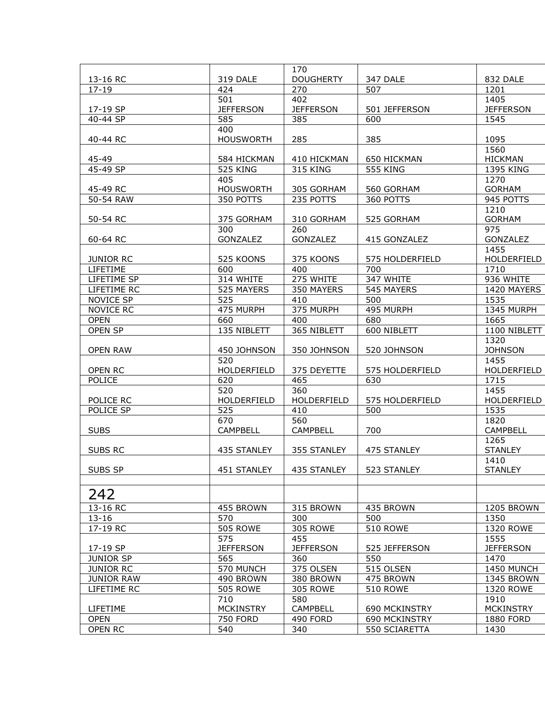|                        |                    | 170                |                        |                     |
|------------------------|--------------------|--------------------|------------------------|---------------------|
| 13-16 RC               | 319 DALE           | <b>DOUGHERTY</b>   | 347 DALE               | 832 DALE            |
| $17 - 19$              | 424                | 270                | 507                    | 1201                |
|                        | 501                | 402                |                        | 1405                |
| 17-19 SP               | <b>JEFFERSON</b>   | <b>JEFFERSON</b>   | 501 JEFFERSON          | <b>JEFFERSON</b>    |
| 40-44 SP               | 585                | 385                | 600                    | 1545                |
|                        | 400                |                    |                        |                     |
| 40-44 RC               | <b>HOUSWORTH</b>   | 285                | 385                    | 1095                |
|                        |                    |                    |                        | 1560                |
| 45-49                  | 584 HICKMAN        | 410 HICKMAN        | 650 HICKMAN            | <b>HICKMAN</b>      |
| 45-49 SP               | <b>525 KING</b>    | 315 KING           | <b>555 KING</b>        | 1395 KING           |
|                        | 405                |                    |                        | 1270                |
| 45-49 RC               | <b>HOUSWORTH</b>   | 305 GORHAM         | 560 GORHAM             | <b>GORHAM</b>       |
| 50-54 RAW              | 350 POTTS          | 235 POTTS          | 360 POTTS              | 945 POTTS           |
|                        |                    |                    |                        | 1210                |
| 50-54 RC               | 375 GORHAM         | 310 GORHAM         | 525 GORHAM             | <b>GORHAM</b>       |
|                        | 300                | 260                |                        | 975                 |
| 60-64 RC               | GONZALEZ           | GONZALEZ           | 415 GONZALEZ           | GONZALEZ            |
|                        |                    |                    |                        | 1455                |
| <b>JUNIOR RC</b>       | 525 KOONS          | 375 KOONS          | 575 HOLDERFIELD        | HOLDERFIELD         |
| LIFETIME               | 600                | 400                | 700                    | 1710                |
| LIFETIME SP            | 314 WHITE          | 275 WHITE          | 347 WHITE              | 936 WHITE           |
| LIFETIME RC            | 525 MAYERS         | 350 MAYERS         | 545 MAYERS             | 1420 MAYERS         |
| NOVICE SP              | 525                | 410                | 500                    | 1535                |
| <b>NOVICE RC</b>       | 475 MURPH          | 375 MURPH          | 495 MURPH              | 1345 MURPH          |
| <b>OPEN</b>            | 660                | 400                | 680                    | 1665                |
| OPEN SP                | 135 NIBLETT        | 365 NIBLETT        | 600 NIBLETT            | 1100 NIBLETT        |
|                        |                    |                    |                        | 1320                |
| <b>OPEN RAW</b>        | 450 JOHNSON        | 350 JOHNSON        | 520 JOHNSON            | <b>JOHNSON</b>      |
|                        | 520                |                    |                        | 1455                |
| OPEN RC                | HOLDERFIELD        | 375 DEYETTE        | 575 HOLDERFIELD        | HOLDERFIELD         |
| <b>POLICE</b>          | 620                | 465                | 630                    | 1715                |
|                        | 520<br>HOLDERFIELD | 360<br>HOLDERFIELD |                        | 1455<br>HOLDERFIELD |
| POLICE RC<br>POLICE SP | 525                | 410                | 575 HOLDERFIELD<br>500 | 1535                |
|                        | 670                | 560                |                        | 1820                |
| <b>SUBS</b>            | <b>CAMPBELL</b>    | <b>CAMPBELL</b>    | 700                    | <b>CAMPBELL</b>     |
|                        |                    |                    |                        | 1265                |
| <b>SUBS RC</b>         | 435 STANLEY        | 355 STANLEY        | 475 STANLEY            | <b>STANLEY</b>      |
|                        |                    |                    |                        | 1410                |
| SUBS SP                | 451 STANLEY        | 435 STANLEY        | 523 STANLEY            | <b>STANLEY</b>      |
|                        |                    |                    |                        |                     |
|                        |                    |                    |                        |                     |
| 242                    |                    |                    |                        |                     |
| 13-16 RC               | 455 BROWN          | 315 BROWN          | 435 BROWN              | 1205 BROWN          |
| $13 - 16$              | 570                | 300                | 500                    | 1350                |
| 17-19 RC               | <b>505 ROWE</b>    | <b>305 ROWE</b>    | <b>510 ROWE</b>        | 1320 ROWE           |
|                        | 575                | 455                |                        | 1555                |
| 17-19 SP               | <b>JEFFERSON</b>   | <b>JEFFERSON</b>   | 525 JEFFERSON          | <b>JEFFERSON</b>    |
| <b>JUNIOR SP</b>       | 565                | 360                | 550                    | 1470                |
| <b>JUNIOR RC</b>       | 570 MUNCH          | 375 OLSEN          | 515 OLSEN              | 1450 MUNCH          |
| JUNIOR RAW             | 490 BROWN          | 380 BROWN          | 475 BROWN              | 1345 BROWN          |
| LIFETIME RC            | <b>505 ROWE</b>    | <b>305 ROWE</b>    | <b>510 ROWE</b>        | 1320 ROWE           |
|                        | 710                | 580                |                        | 1910                |
| LIFETIME               | <b>MCKINSTRY</b>   | CAMPBELL           | 690 MCKINSTRY          | <b>MCKINSTRY</b>    |
| <b>OPEN</b>            | <b>750 FORD</b>    | <b>490 FORD</b>    | 690 MCKINSTRY          | 1880 FORD           |
| OPEN RC                | 540                | 340                | 550 SCIARETTA          | 1430                |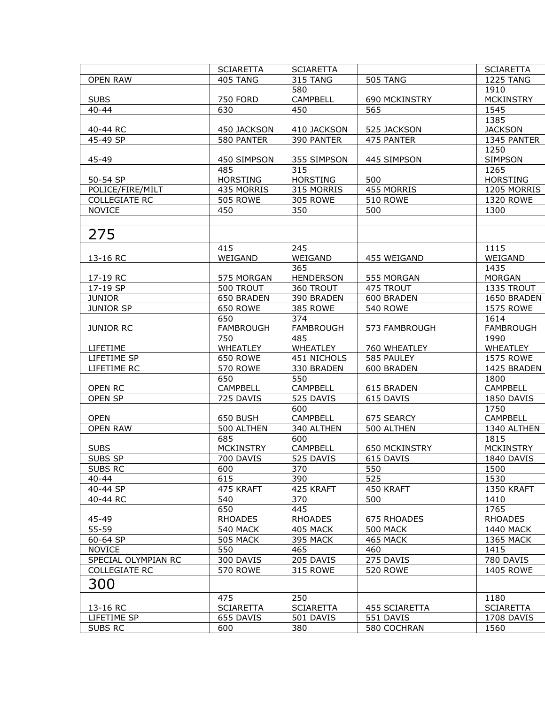|                             | <b>SCIARETTA</b> | <b>SCIARETTA</b> |                      | <b>SCIARETTA</b>  |
|-----------------------------|------------------|------------------|----------------------|-------------------|
| <b>OPEN RAW</b>             | 405 TANG         | 315 TANG         | <b>505 TANG</b>      | <b>1225 TANG</b>  |
|                             |                  | 580              |                      | 1910              |
| <b>SUBS</b>                 | <b>750 FORD</b>  | <b>CAMPBELL</b>  | 690 MCKINSTRY        | <b>MCKINSTRY</b>  |
| $40 - 44$                   | 630              | 450              | 565                  | 1545              |
|                             |                  |                  |                      | 1385              |
| 40-44 RC                    | 450 JACKSON      | 410 JACKSON      | 525 JACKSON          | <b>JACKSON</b>    |
| 45-49 SP                    | 580 PANTER       | 390 PANTER       | 475 PANTER           | 1345 PANTER       |
|                             |                  |                  |                      | 1250              |
| 45-49                       | 450 SIMPSON      | 355 SIMPSON      | 445 SIMPSON          | <b>SIMPSON</b>    |
|                             | 485              | 315              |                      | 1265              |
| 50-54 SP                    | <b>HORSTING</b>  | <b>HORSTING</b>  | 500                  | <b>HORSTING</b>   |
| POLICE/FIRE/MILT            | 435 MORRIS       | 315 MORRIS       | 455 MORRIS           | 1205 MORRIS       |
| <b>COLLEGIATE RC</b>        | <b>505 ROWE</b>  | <b>305 ROWE</b>  | <b>510 ROWE</b>      | 1320 ROWE         |
| <b>NOVICE</b>               | 450              | 350              | 500                  | 1300              |
|                             |                  |                  |                      |                   |
|                             |                  |                  |                      |                   |
| 275                         |                  |                  |                      |                   |
|                             | 415              | 245              |                      | 1115              |
| 13-16 RC                    | WEIGAND          | WEIGAND          | 455 WEIGAND          | WEIGAND           |
|                             |                  | 365              |                      | 1435              |
| 17-19 RC                    | 575 MORGAN       | <b>HENDERSON</b> | 555 MORGAN           | <b>MORGAN</b>     |
| 17-19 SP                    | 500 TROUT        | 360 TROUT        | 475 TROUT            | 1335 TROUT        |
| <b>JUNIOR</b>               | 650 BRADEN       | 390 BRADEN       | 600 BRADEN           | 1650 BRADEN       |
| <b>JUNIOR SP</b>            | 650 ROWE         | <b>385 ROWE</b>  | <b>540 ROWE</b>      | 1575 ROWE         |
|                             | 650              | 374              |                      | 1614              |
| <b>JUNIOR RC</b>            | <b>FAMBROUGH</b> | <b>FAMBROUGH</b> | 573 FAMBROUGH        | <b>FAMBROUGH</b>  |
|                             | 750              | 485              |                      | 1990              |
| LIFETIME                    | WHEATLEY         | <b>WHEATLEY</b>  | 760 WHEATLEY         | WHEATLEY          |
| LIFETIME SP                 | 650 ROWE         | 451 NICHOLS      | 585 PAULEY           | <b>1575 ROWE</b>  |
| LIFETIME RC                 | <b>570 ROWE</b>  | 330 BRADEN       | 600 BRADEN           | 1425 BRADEN       |
|                             | 650              | 550              |                      | 1800              |
| OPEN RC                     | <b>CAMPBELL</b>  | <b>CAMPBELL</b>  | 615 BRADEN           | <b>CAMPBELL</b>   |
| OPEN SP                     | 725 DAVIS        | 525 DAVIS        | 615 DAVIS            | <b>1850 DAVIS</b> |
|                             |                  | 600              |                      | 1750              |
| <b>OPEN</b>                 | 650 BUSH         | <b>CAMPBELL</b>  | 675 SEARCY           | <b>CAMPBELL</b>   |
| <b>OPEN RAW</b>             | 500 ALTHEN       | 340 ALTHEN       | 500 ALTHEN           | 1340 ALTHEN       |
|                             | 685              | 600              |                      | 1815              |
| <b>SUBS</b>                 | <b>MCKINSTRY</b> | <b>CAMPBELL</b>  | <b>650 MCKINSTRY</b> | <b>MCKINSTRY</b>  |
| SUBS SP                     | 700 DAVIS        | 525 DAVIS        | 615 DAVIS            | 1840 DAVIS        |
|                             |                  |                  |                      |                   |
| <b>SUBS RC</b><br>$40 - 44$ | 600<br>615       | 370<br>390       | 550<br>525           | 1500<br>1530      |
|                             | 475 KRAFT        | 425 KRAFT        |                      | 1350 KRAFT        |
| 40-44 SP                    |                  |                  | 450 KRAFT            |                   |
| 40-44 RC                    | 540              | 370              | 500                  | 1410              |
|                             | 650              | 445              |                      | 1765              |
| 45-49                       | <b>RHOADES</b>   | <b>RHOADES</b>   | 675 RHOADES          | <b>RHOADES</b>    |
| 55-59                       | 540 MACK         | 405 MACK         | 500 MACK             | <b>1440 MACK</b>  |
| 60-64 SP                    | <b>505 MACK</b>  | 395 MACK         | 465 MACK             | <b>1365 MACK</b>  |
| <b>NOVICE</b>               | 550              | 465              | 460                  | 1415              |
| SPECIAL OLYMPIAN RC         | 300 DAVIS        | 205 DAVIS        | 275 DAVIS            | 780 DAVIS         |
| <b>COLLEGIATE RC</b>        | <b>570 ROWE</b>  | <b>315 ROWE</b>  | <b>520 ROWE</b>      | <b>1405 ROWE</b>  |
| 300                         |                  |                  |                      |                   |
|                             |                  |                  |                      |                   |
|                             | 475              | 250              |                      | 1180              |
| 13-16 RC                    | <b>SCIARETTA</b> | <b>SCIARETTA</b> | 455 SCIARETTA        | <b>SCIARETTA</b>  |
| LIFETIME SP                 | 655 DAVIS        | 501 DAVIS        | 551 DAVIS            | 1708 DAVIS        |
| SUBS RC                     | 600              | 380              | 580 COCHRAN          | 1560              |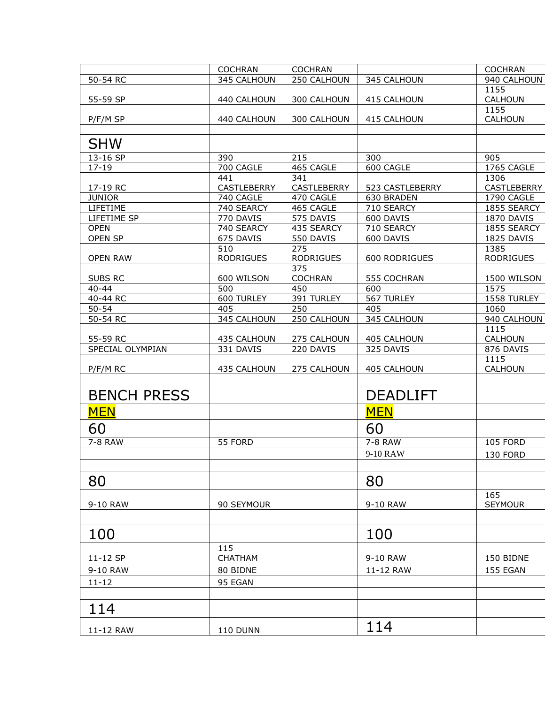|                    | <b>COCHRAN</b>   | <b>COCHRAN</b>   |                 | <b>COCHRAN</b>         |
|--------------------|------------------|------------------|-----------------|------------------------|
| 50-54 RC           | 345 CALHOUN      | 250 CALHOUN      | 345 CALHOUN     | 940 CALHOUN            |
| 55-59 SP           | 440 CALHOUN      | 300 CALHOUN      | 415 CALHOUN     | 1155<br>CALHOUN        |
| P/F/M SP           | 440 CALHOUN      | 300 CALHOUN      | 415 CALHOUN     | 1155<br>CALHOUN        |
|                    |                  |                  |                 |                        |
| <b>SHW</b>         |                  |                  |                 |                        |
| 13-16 SP           | 390              | 215              | 300             | 905                    |
| $17 - 19$          | 700 CAGLE        | 465 CAGLE        | 600 CAGLE       | 1765 CAGLE             |
|                    | 441              | 341              |                 | 1306                   |
| 17-19 RC           | CASTLEBERRY      | CASTLEBERRY      | 523 CASTLEBERRY | CASTLEBERRY            |
| <b>JUNIOR</b>      | 740 CAGLE        | 470 CAGLE        | 630 BRADEN      | 1790 CAGLE             |
| LIFETIME           | 740 SEARCY       | 465 CAGLE        | 710 SEARCY      | 1855 SEARCY            |
| LIFETIME SP        | 770 DAVIS        | 575 DAVIS        | 600 DAVIS       | 1870 DAVIS             |
| <b>OPEN</b>        | 740 SEARCY       | 435 SEARCY       | 710 SEARCY      | 1855 SEARCY            |
| OPEN SP            | 675 DAVIS        | 550 DAVIS        | 600 DAVIS       | 1825 DAVIS             |
|                    | 510              | 275              |                 | 1385                   |
| <b>OPEN RAW</b>    | <b>RODRIGUES</b> | <b>RODRIGUES</b> | 600 RODRIGUES   | <b>RODRIGUES</b>       |
|                    |                  | 375              |                 |                        |
| SUBS RC            | 600 WILSON       | COCHRAN          | 555 COCHRAN     | 1500 WILSON            |
| $40 - 44$          | 500              | 450              | 600             | 1575                   |
| 40-44 RC           | 600 TURLEY       | 391 TURLEY       | 567 TURLEY      | 1558 TURLEY            |
| $50 - 54$          | 405              | 250              | 405             | 1060                   |
| 50-54 RC           | 345 CALHOUN      | 250 CALHOUN      | 345 CALHOUN     | 940 CALHOUN            |
|                    |                  |                  |                 | 1115                   |
| 55-59 RC           | 435 CALHOUN      | 275 CALHOUN      | 405 CALHOUN     | CALHOUN                |
| SPECIAL OLYMPIAN   | 331 DAVIS        | 220 DAVIS        | 325 DAVIS       | 876 DAVIS              |
| P/F/M RC           | 435 CALHOUN      | 275 CALHOUN      | 405 CALHOUN     | 1115<br><b>CALHOUN</b> |
| <b>BENCH PRESS</b> |                  |                  | <b>DEADLIFT</b> |                        |
|                    |                  |                  |                 |                        |
| <b>MEN</b>         |                  |                  | <b>MEN</b>      |                        |
| 60                 |                  |                  | 60              |                        |
| 7-8 RAW            | 55 FORD          |                  | 7-8 RAW         | <b>105 FORD</b>        |
|                    |                  |                  | 9-10 RAW        | <b>130 FORD</b>        |
|                    |                  |                  |                 |                        |
| 80                 |                  |                  | 80              |                        |
|                    |                  |                  |                 | 165                    |
| 9-10 RAW           | 90 SEYMOUR       |                  | 9-10 RAW        | <b>SEYMOUR</b>         |
|                    |                  |                  |                 |                        |
| 100                |                  |                  | 100             |                        |
| 11-12 SP           | 115<br>CHATHAM   |                  | 9-10 RAW        | 150 BIDNE              |
|                    |                  |                  |                 |                        |
| 9-10 RAW           | 80 BIDNE         |                  | 11-12 RAW       | 155 EGAN               |
| $11 - 12$          | 95 EGAN          |                  |                 |                        |
|                    |                  |                  |                 |                        |
| 114                |                  |                  |                 |                        |
| 11-12 RAW          | <b>110 DUNN</b>  |                  | 114             |                        |
|                    |                  |                  |                 |                        |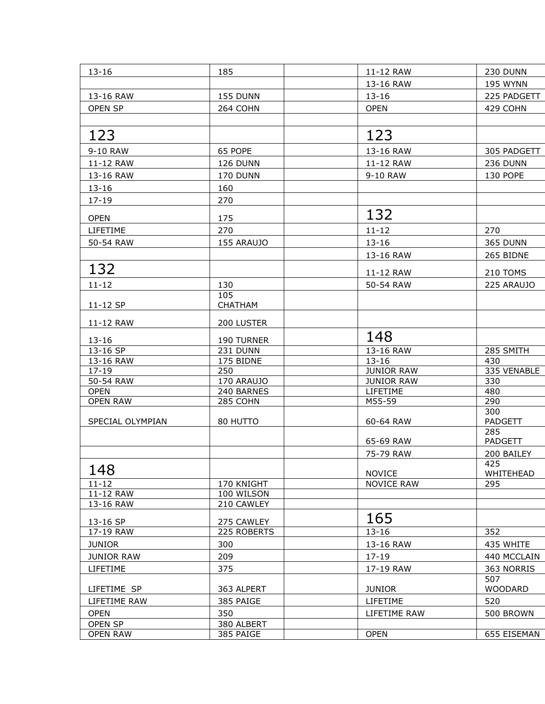| $13 - 16$         | 185             | 11-12 RAW         | <b>230 DUNN</b>       |
|-------------------|-----------------|-------------------|-----------------------|
|                   |                 | 13-16 RAW         | <b>195 WYNN</b>       |
| 13-16 RAW         | <b>155 DUNN</b> | $13 - 16$         | 225 PADGETT           |
| OPEN SP           | 264 COHN        | <b>OPEN</b>       | 429 COHN              |
|                   |                 |                   |                       |
| 123               |                 | 123               |                       |
| 9-10 RAW          | 65 POPE         | 13-16 RAW         | 305 PADGETT           |
| 11-12 RAW         | 126 DUNN        | 11-12 RAW         | 236 DUNN              |
| 13-16 RAW         | <b>170 DUNN</b> | 9-10 RAW          | 130 POPE              |
| $13 - 16$         | 160             |                   |                       |
| $17 - 19$         | 270             |                   |                       |
|                   |                 |                   |                       |
| <b>OPEN</b>       | 175             | 132               |                       |
| LIFETIME          | 270             | $11 - 12$         | 270                   |
| 50-54 RAW         | 155 ARAUJO      | $13 - 16$         | <b>365 DUNN</b>       |
|                   |                 | 13-16 RAW         | 265 BIDNE             |
| 132               |                 |                   |                       |
|                   |                 | 11-12 RAW         | <b>210 TOMS</b>       |
| $11 - 12$         | 130<br>105      | 50-54 RAW         | 225 ARAUJO            |
| 11-12 SP          | CHATHAM         |                   |                       |
|                   |                 |                   |                       |
| 11-12 RAW         | 200 LUSTER      |                   |                       |
| $13 - 16$         | 190 TURNER      | 148               |                       |
| 13-16 SP          | 231 DUNN        | 13-16 RAW         | 285 SMITH             |
| 13-16 RAW         | 175 BIDNE       | $13 - 16$         | 430                   |
| $17 - 19$         | 250             | <b>JUNIOR RAW</b> | 335 VENABLE           |
| 50-54 RAW         | 170 ARAUJO      | <b>JUNIOR RAW</b> | 330                   |
| <b>OPEN</b>       | 240 BARNES      | LIFETIME          | 480                   |
| <b>OPEN RAW</b>   | 285 COHN        | M55-59            | 290                   |
| SPECIAL OLYMPIAN  | 80 HUTTO        | 60-64 RAW         | 300<br><b>PADGETT</b> |
|                   |                 |                   | 285                   |
|                   |                 | 65-69 RAW         | PADGETT               |
|                   |                 | 75-79 RAW         | 200 BAILEY<br>425     |
| 148               |                 | <b>NOVICE</b>     | WHITEHEAD             |
| $11 - 12$         | 170 KNIGHT      | <b>NOVICE RAW</b> | 295                   |
| 11-12 RAW         | 100 WILSON      |                   |                       |
| 13-16 RAW         | 210 CAWLEY      |                   |                       |
| 13-16 SP          | 275 CAWLEY      | 165               |                       |
| 17-19 RAW         | 225 ROBERTS     | $13 - 16$         | 352                   |
| <b>JUNIOR</b>     | 300             | 13-16 RAW         | 435 WHITE             |
| <b>JUNIOR RAW</b> | 209             | $17 - 19$         | 440 MCCLAIN           |
| <b>LIFETIME</b>   | 375             | 17-19 RAW         | 363 NORRIS            |
|                   |                 |                   | 507                   |
| LIFETIME SP       | 363 ALPERT      | <b>JUNIOR</b>     | <b>WOODARD</b>        |
| LIFETIME RAW      | 385 PAIGE       | LIFETIME          | 520                   |
| <b>OPEN</b>       | 350             | LIFETIME RAW      | 500 BROWN             |
| OPEN SP           | 380 ALBERT      |                   |                       |
| <b>OPEN RAW</b>   | 385 PAIGE       | <b>OPEN</b>       | 655 EISEMAN           |
|                   |                 |                   |                       |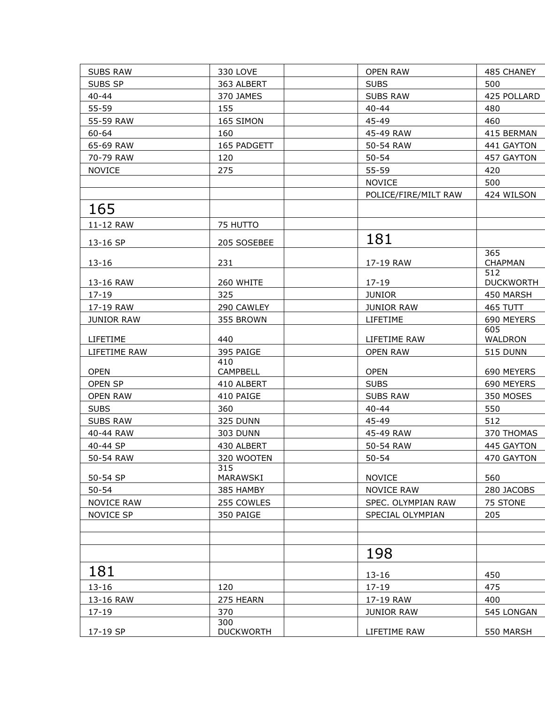| <b>SUBS RAW</b>   | 330 LOVE         | <b>OPEN RAW</b>      | 485 CHANEY            |
|-------------------|------------------|----------------------|-----------------------|
| SUBS SP           | 363 ALBERT       | <b>SUBS</b>          | 500                   |
| $40 - 44$         | 370 JAMES        | <b>SUBS RAW</b>      | 425 POLLARD           |
| 55-59             | 155              | 40-44                | 480                   |
| 55-59 RAW         | 165 SIMON        | 45-49                | 460                   |
| 60-64             | 160              | 45-49 RAW            | 415 BERMAN            |
| 65-69 RAW         | 165 PADGETT      | 50-54 RAW            | 441 GAYTON            |
| 70-79 RAW         | 120              | $50 - 54$            | 457 GAYTON            |
| <b>NOVICE</b>     | 275              | 55-59                | 420                   |
|                   |                  | <b>NOVICE</b>        | 500                   |
|                   |                  | POLICE/FIRE/MILT RAW | 424 WILSON            |
| 165               |                  |                      |                       |
| 11-12 RAW         | 75 HUTTO         |                      |                       |
|                   |                  |                      |                       |
| 13-16 SP          | 205 SOSEBEE      | 181                  |                       |
| $13 - 16$         | 231              | 17-19 RAW            | 365<br><b>CHAPMAN</b> |
|                   |                  |                      | 512                   |
| 13-16 RAW         | 260 WHITE        | $17 - 19$            | <b>DUCKWORTH</b>      |
| $17 - 19$         | 325              | <b>JUNIOR</b>        | 450 MARSH             |
| 17-19 RAW         | 290 CAWLEY       | <b>JUNIOR RAW</b>    | 465 TUTT              |
| <b>JUNIOR RAW</b> | 355 BROWN        | LIFETIME             | 690 MEYERS<br>605     |
| LIFETIME          | 440              | LIFETIME RAW         | WALDRON               |
| LIFETIME RAW      | 395 PAIGE        | <b>OPEN RAW</b>      | <b>515 DUNN</b>       |
| <b>OPEN</b>       | 410<br>CAMPBELL  | <b>OPEN</b>          | 690 MEYERS            |
| OPEN SP           | 410 ALBERT       | <b>SUBS</b>          | 690 MEYERS            |
| <b>OPEN RAW</b>   | 410 PAIGE        | <b>SUBS RAW</b>      | 350 MOSES             |
| <b>SUBS</b>       | 360              | $40 - 44$            | 550                   |
| <b>SUBS RAW</b>   | 325 DUNN         | 45-49                | 512                   |
| 40-44 RAW         | <b>303 DUNN</b>  | 45-49 RAW            | 370 THOMAS            |
| 40-44 SP          | 430 ALBERT       | 50-54 RAW            | 445 GAYTON            |
| 50-54 RAW         | 320 WOOTEN       | $50 - 54$            | 470 GAYTON            |
|                   | 315              |                      |                       |
| 50-54 SP          | MARAWSKI         | <b>NOVICE</b>        | 560                   |
| $50 - 54$         | 385 HAMBY        | <b>NOVICE RAW</b>    | 280 JACOBS            |
| <b>NOVICE RAW</b> | 255 COWLES       | SPEC. OLYMPIAN RAW   | 75 STONE              |
| NOVICE SP         | 350 PAIGE        | SPECIAL OLYMPIAN     | 205                   |
|                   |                  |                      |                       |
|                   |                  |                      |                       |
|                   |                  | 198                  |                       |
| 181               |                  | $13 - 16$            | 450                   |
| $13 - 16$         | 120              | $17 - 19$            | 475                   |
| 13-16 RAW         | 275 HEARN        | 17-19 RAW            | 400                   |
| 17-19             | 370              | <b>JUNIOR RAW</b>    | 545 LONGAN            |
|                   | 300              |                      |                       |
| 17-19 SP          | <b>DUCKWORTH</b> | LIFETIME RAW         | 550 MARSH             |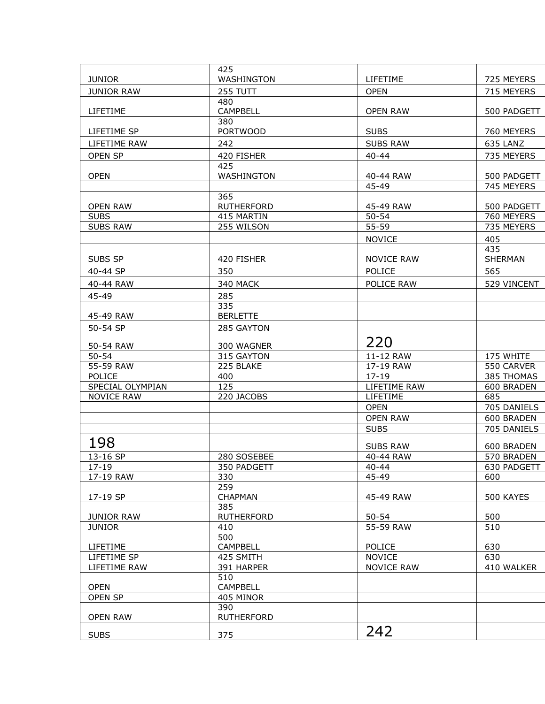|                         | 425                    |                                |             |
|-------------------------|------------------------|--------------------------------|-------------|
| <b>JUNIOR</b>           | WASHINGTON             | LIFETIME                       | 725 MEYERS  |
| <b>JUNIOR RAW</b>       | <b>255 TUTT</b>        | <b>OPEN</b>                    | 715 MEYERS  |
| LIFETIME                | 480<br><b>CAMPBELL</b> | <b>OPEN RAW</b>                | 500 PADGETT |
|                         | 380                    |                                |             |
| LIFETIME SP             | <b>PORTWOOD</b>        | <b>SUBS</b>                    | 760 MEYERS  |
| LIFETIME RAW            | 242                    | <b>SUBS RAW</b>                | 635 LANZ    |
| <b>OPEN SP</b>          | 420 FISHER             | $40 - 44$                      | 735 MEYERS  |
|                         | 425                    |                                |             |
| <b>OPEN</b>             | WASHINGTON             | 40-44 RAW                      | 500 PADGETT |
|                         |                        | 45-49                          | 745 MEYERS  |
|                         | 365                    |                                |             |
| <b>OPEN RAW</b>         | <b>RUTHERFORD</b>      | 45-49 RAW                      | 500 PADGETT |
| <b>SUBS</b>             | 415 MARTIN             | $50 - 54$                      | 760 MEYERS  |
| <b>SUBS RAW</b>         | 255 WILSON             | $55 - 59$                      | 735 MEYERS  |
|                         |                        | <b>NOVICE</b>                  | 405         |
|                         |                        |                                | 435         |
| SUBS SP                 | 420 FISHER             | <b>NOVICE RAW</b>              | SHERMAN     |
| 40-44 SP                | 350                    | <b>POLICE</b>                  | 565         |
| 40-44 RAW               | 340 MACK               | POLICE RAW                     | 529 VINCENT |
| 45-49                   | 285                    |                                |             |
|                         | 335                    |                                |             |
| 45-49 RAW               | <b>BERLETTE</b>        |                                |             |
| 50-54 SP                | 285 GAYTON             |                                |             |
|                         |                        |                                |             |
| 50-54 RAW               | 300 WAGNER             | 220                            |             |
| $50 - 54$               | 315 GAYTON             | 11-12 RAW                      | 175 WHITE   |
| 55-59 RAW               | 225 BLAKE              | 17-19 RAW                      | 550 CARVER  |
| POLICE                  | 400                    | $17 - 19$                      | 385 THOMAS  |
| SPECIAL OLYMPIAN        | 125                    | LIFETIME RAW                   | 600 BRADEN  |
| <b>NOVICE RAW</b>       | 220 JACOBS             | LIFETIME                       | 685         |
|                         |                        | <b>OPEN</b>                    | 705 DANIELS |
|                         |                        | <b>OPEN RAW</b>                | 600 BRADEN  |
|                         |                        | <b>SUBS</b>                    | 705 DANIELS |
| 198                     |                        | <b>SUBS RAW</b>                | 600 BRADEN  |
| 13-16 SP                | 280 SOSEBEE            | 40-44 RAW                      | 570 BRADEN  |
| $17 - 19$               | 350 PADGETT            | $40 - 44$                      | 630 PADGETT |
| 17-19 RAW               | 330                    | 45-49                          | 600         |
|                         | 259                    |                                |             |
| 17-19 SP                | <b>CHAPMAN</b>         | 45-49 RAW                      | 500 KAYES   |
|                         | 385                    |                                |             |
| <b>JUNIOR RAW</b>       | <b>RUTHERFORD</b>      | $50 - 54$                      | 500         |
| <b>JUNIOR</b>           | 410                    | 55-59 RAW                      | 510         |
|                         | 500                    |                                |             |
| LIFETIME<br>LIFETIME SP | CAMPBELL<br>425 SMITH  | <b>POLICE</b><br><b>NOVICE</b> | 630<br>630  |
| LIFETIME RAW            | 391 HARPER             | <b>NOVICE RAW</b>              | 410 WALKER  |
|                         | 510                    |                                |             |
| <b>OPEN</b>             | <b>CAMPBELL</b>        |                                |             |
| OPEN SP                 | 405 MINOR              |                                |             |
|                         | 390                    |                                |             |
| <b>OPEN RAW</b>         | <b>RUTHERFORD</b>      |                                |             |
|                         |                        | 242                            |             |
| <b>SUBS</b>             | 375                    |                                |             |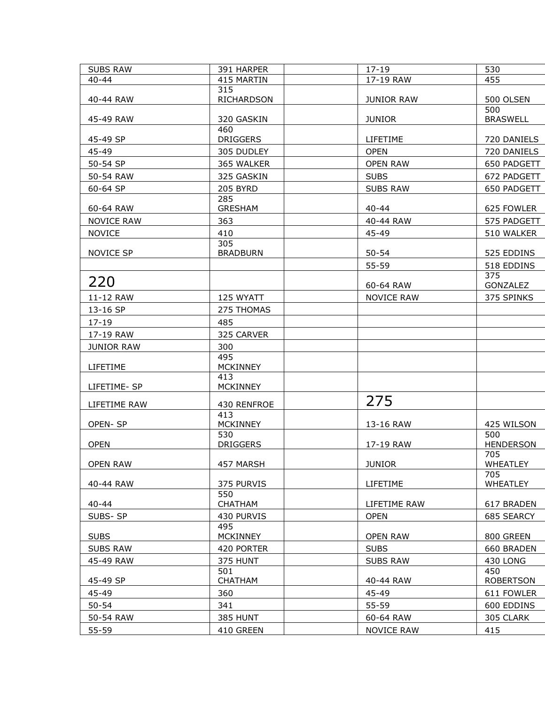| <b>SUBS RAW</b>   | 391 HARPER             | $17 - 19$         | 530              |
|-------------------|------------------------|-------------------|------------------|
| $40 - 44$         | 415 MARTIN             | 17-19 RAW         | 455              |
|                   | 315                    |                   |                  |
| 40-44 RAW         | <b>RICHARDSON</b>      | <b>JUNIOR RAW</b> | 500 OLSEN        |
|                   |                        |                   | 500              |
| 45-49 RAW         | 320 GASKIN             | <b>JUNIOR</b>     | <b>BRASWELL</b>  |
| 45-49 SP          | 460<br><b>DRIGGERS</b> | LIFETIME          | 720 DANIELS      |
|                   |                        |                   |                  |
| 45-49             | 305 DUDLEY             | <b>OPEN</b>       | 720 DANIELS      |
| 50-54 SP          | 365 WALKER             | <b>OPEN RAW</b>   | 650 PADGETT      |
| 50-54 RAW         | 325 GASKIN             | <b>SUBS</b>       | 672 PADGETT      |
| 60-64 SP          | <b>205 BYRD</b>        | <b>SUBS RAW</b>   | 650 PADGETT      |
|                   | 285                    |                   |                  |
| 60-64 RAW         | <b>GRESHAM</b>         | $40 - 44$         | 625 FOWLER       |
| <b>NOVICE RAW</b> | 363                    | 40-44 RAW         | 575 PADGETT      |
| <b>NOVICE</b>     | 410                    | 45-49             | 510 WALKER       |
|                   | 305                    |                   |                  |
| NOVICE SP         | <b>BRADBURN</b>        | $50 - 54$         | 525 EDDINS       |
|                   |                        | 55-59             | 518 EDDINS       |
| 220               |                        |                   | 375              |
|                   |                        | 60-64 RAW         | GONZALEZ         |
| 11-12 RAW         | 125 WYATT              | <b>NOVICE RAW</b> | 375 SPINKS       |
| 13-16 SP          | 275 THOMAS             |                   |                  |
| $17 - 19$         | 485                    |                   |                  |
| 17-19 RAW         | 325 CARVER             |                   |                  |
| <b>JUNIOR RAW</b> | 300                    |                   |                  |
|                   | 495                    |                   |                  |
| LIFETIME          | <b>MCKINNEY</b>        |                   |                  |
|                   | 413                    |                   |                  |
| LIFETIME-SP       | <b>MCKINNEY</b>        |                   |                  |
| LIFETIME RAW      | 430 RENFROE            | 275               |                  |
|                   | 413                    |                   |                  |
| OPEN-SP           | <b>MCKINNEY</b>        | 13-16 RAW         | 425 WILSON       |
|                   | 530                    |                   | 500              |
| <b>OPEN</b>       | <b>DRIGGERS</b>        | 17-19 RAW         | <b>HENDERSON</b> |
|                   |                        |                   | 705              |
| <b>OPEN RAW</b>   | 457 MARSH              | <b>JUNIOR</b>     | WHEATLEY         |
|                   |                        |                   | 705              |
| 40-44 RAW         | 375 PURVIS             | LIFETIME          | WHEATLEY         |
| $40 - 44$         | 550<br><b>CHATHAM</b>  | LIFETIME RAW      | 617 BRADEN       |
|                   |                        |                   |                  |
| SUBS-SP           | 430 PURVIS             | <b>OPEN</b>       | 685 SEARCY       |
| <b>SUBS</b>       | 495<br><b>MCKINNEY</b> | <b>OPEN RAW</b>   | 800 GREEN        |
|                   |                        |                   |                  |
| <b>SUBS RAW</b>   | 420 PORTER             | <b>SUBS</b>       | 660 BRADEN       |
| 45-49 RAW         | 375 HUNT               | <b>SUBS RAW</b>   | 430 LONG         |
| 45-49 SP          | 501<br><b>CHATHAM</b>  | 40-44 RAW         | 450              |
|                   |                        |                   | <b>ROBERTSON</b> |
| 45-49             | 360                    | 45-49             | 611 FOWLER       |
| $50 - 54$         | 341                    | $55 - 59$         | 600 EDDINS       |
| 50-54 RAW         | 385 HUNT               | 60-64 RAW         | 305 CLARK        |
| 55-59             | 410 GREEN              | <b>NOVICE RAW</b> | 415              |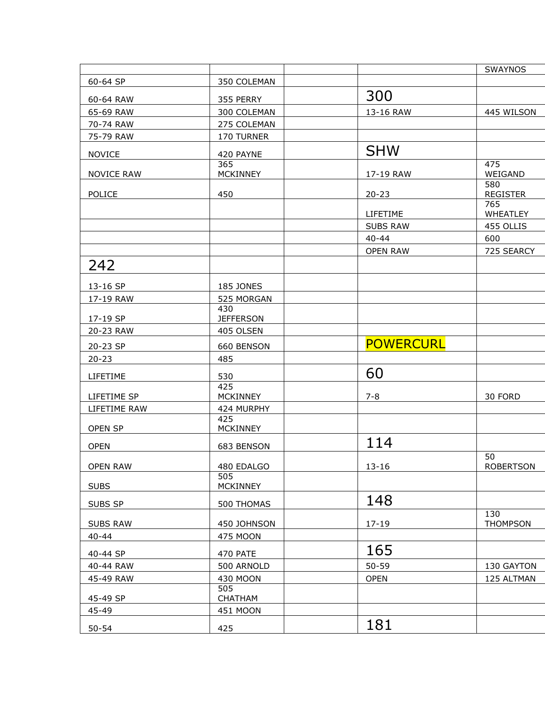|                       |                               |                  | SWAYNOS                |
|-----------------------|-------------------------------|------------------|------------------------|
| 60-64 SP              | 350 COLEMAN                   |                  |                        |
| 60-64 RAW             | 355 PERRY                     | 300              |                        |
| 65-69 RAW             | 300 COLEMAN                   | 13-16 RAW        | 445 WILSON             |
| 70-74 RAW             | 275 COLEMAN                   |                  |                        |
| 75-79 RAW             | 170 TURNER                    |                  |                        |
| <b>NOVICE</b>         | 420 PAYNE                     | <b>SHW</b>       |                        |
| <b>NOVICE RAW</b>     | 365<br><b>MCKINNEY</b>        | 17-19 RAW        | 475<br>WEIGAND         |
| POLICE                | 450                           | $20 - 23$        | 580<br><b>REGISTER</b> |
|                       |                               |                  | 765                    |
|                       |                               | LIFETIME         | WHEATLEY               |
|                       |                               | <b>SUBS RAW</b>  | 455 OLLIS              |
|                       |                               | $40 - 44$        | 600                    |
|                       |                               | <b>OPEN RAW</b>  | 725 SEARCY             |
| 242                   |                               |                  |                        |
| 13-16 SP              | <b>185 JONES</b>              |                  |                        |
| 17-19 RAW             | 525 MORGAN                    |                  |                        |
|                       | 430                           |                  |                        |
| 17-19 SP<br>20-23 RAW | <b>JEFFERSON</b><br>405 OLSEN |                  |                        |
|                       |                               | <b>POWERCURL</b> |                        |
| 20-23 SP              | 660 BENSON                    |                  |                        |
| $20 - 23$             | 485                           |                  |                        |
| LIFETIME              | 530                           | 60               |                        |
| LIFETIME SP           | 425<br><b>MCKINNEY</b>        | $7 - 8$          | 30 FORD                |
| LIFETIME RAW          | 424 MURPHY                    |                  |                        |
|                       | 425                           |                  |                        |
| OPEN SP               | <b>MCKINNEY</b>               |                  |                        |
| <b>OPEN</b>           | 683 BENSON                    | 114              |                        |
| <b>OPEN RAW</b>       | 480 EDALGO                    | $13 - 16$        | 50<br><b>ROBERTSON</b> |
|                       | 505                           |                  |                        |
| <b>SUBS</b>           | <b>MCKINNEY</b>               |                  |                        |
| SUBS SP               | 500 THOMAS                    | 148              |                        |
| <b>SUBS RAW</b>       | 450 JOHNSON                   | $17 - 19$        | 130<br><b>THOMPSON</b> |
| $40 - 44$             | 475 MOON                      |                  |                        |
| 40-44 SP              | 470 PATE                      | 165              |                        |
| 40-44 RAW             | 500 ARNOLD                    | $50 - 59$        | 130 GAYTON             |
| 45-49 RAW             | 430 MOON                      | <b>OPEN</b>      | 125 ALTMAN             |
|                       | 505                           |                  |                        |
| 45-49 SP              | CHATHAM                       |                  |                        |
| 45-49                 | 451 MOON                      |                  |                        |
| $50 - 54$             | 425                           | 181              |                        |
|                       |                               |                  |                        |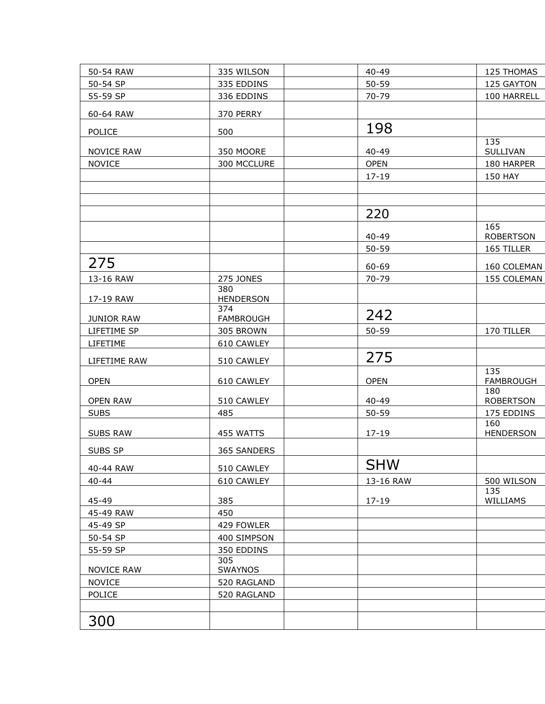| 50-54 RAW                          | 335 WILSON                 | $40 - 49$   | 125 THOMAS              |
|------------------------------------|----------------------------|-------------|-------------------------|
| 50-54 SP                           | 335 EDDINS                 | $50 - 59$   | 125 GAYTON              |
| 55-59 SP                           | 336 EDDINS                 | 70-79       | 100 HARRELL             |
| 60-64 RAW                          | 370 PERRY                  |             |                         |
| POLICE                             | 500                        | 198         |                         |
| <b>NOVICE RAW</b>                  | 350 MOORE                  | 40-49       | 135<br>SULLIVAN         |
| <b>NOVICE</b>                      | 300 MCCLURE                | <b>OPEN</b> | 180 HARPER              |
|                                    |                            | $17 - 19$   | <b>150 HAY</b>          |
|                                    |                            |             |                         |
|                                    |                            |             |                         |
|                                    |                            | 220         |                         |
|                                    |                            |             | 165                     |
|                                    |                            | 40-49       | <b>ROBERTSON</b>        |
|                                    |                            | 50-59       | 165 TILLER              |
| 275                                |                            | 60-69       | 160 COLEMAN             |
| 13-16 RAW                          | <b>275 JONES</b>           | 70-79       | 155 COLEMAN             |
| 17-19 RAW                          | 380<br><b>HENDERSON</b>    |             |                         |
|                                    | 374                        |             |                         |
| JUNIOR RAW                         | <b>FAMBROUGH</b>           | 242         |                         |
| LIFETIME SP                        | 305 BROWN                  | $50 - 59$   | 170 TILLER              |
| LIFETIME                           | 610 CAWLEY                 |             |                         |
| LIFETIME RAW                       | 510 CAWLEY                 | 275         |                         |
| <b>OPEN</b>                        | 610 CAWLEY                 | <b>OPEN</b> | 135<br><b>FAMBROUGH</b> |
| <b>OPEN RAW</b>                    | 510 CAWLEY                 | 40-49       | 180<br><b>ROBERTSON</b> |
| <b>SUBS</b>                        | 485                        | 50-59       | 175 EDDINS              |
| <b>SUBS RAW</b>                    | 455 WATTS                  | $17 - 19$   | 160<br><b>HENDERSON</b> |
| SUBS SP                            | 365 SANDERS                |             |                         |
|                                    |                            |             |                         |
| 40-44 RAW                          | 510 CAWLEY                 | <b>SHW</b>  |                         |
| $40 - 44$                          | 610 CAWLEY                 | 13-16 RAW   | 500 WILSON              |
| 45-49                              | 385                        | $17 - 19$   | 135<br>WILLIAMS         |
| 45-49 RAW                          | 450                        |             |                         |
| 45-49 SP                           | 429 FOWLER                 |             |                         |
| 50-54 SP                           | 400 SIMPSON                |             |                         |
| 55-59 SP                           | 350 EDDINS                 |             |                         |
|                                    | 305                        |             |                         |
| <b>NOVICE RAW</b><br><b>NOVICE</b> | SWAYNOS                    |             |                         |
| POLICE                             | 520 RAGLAND<br>520 RAGLAND |             |                         |
|                                    |                            |             |                         |
| 300                                |                            |             |                         |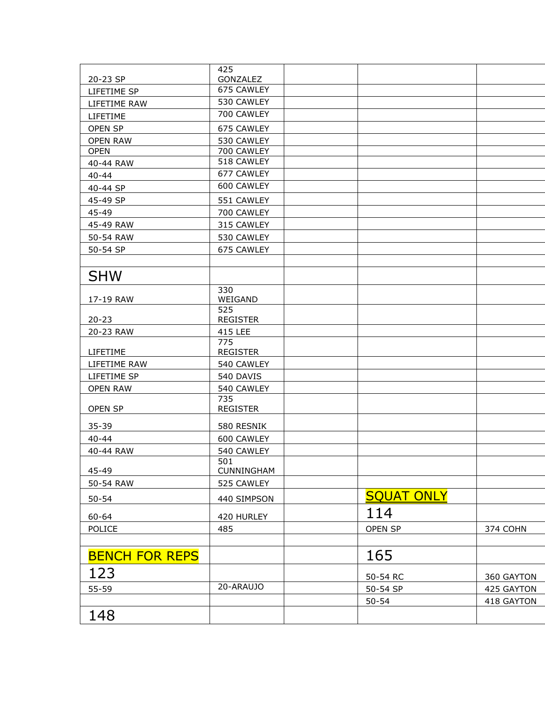|                       | 425                    |                   |            |
|-----------------------|------------------------|-------------------|------------|
| 20-23 SP              | GONZALEZ<br>675 CAWLEY |                   |            |
| LIFETIME SP           | 530 CAWLEY             |                   |            |
| LIFETIME RAW          | 700 CAWLEY             |                   |            |
| LIFETIME<br>OPEN SP   | 675 CAWLEY             |                   |            |
| <b>OPEN RAW</b>       | 530 CAWLEY             |                   |            |
| <b>OPEN</b>           | 700 CAWLEY             |                   |            |
| 40-44 RAW             | 518 CAWLEY             |                   |            |
| $40 - 44$             | 677 CAWLEY             |                   |            |
| 40-44 SP              | 600 CAWLEY             |                   |            |
| 45-49 SP              | 551 CAWLEY             |                   |            |
| 45-49                 | 700 CAWLEY             |                   |            |
| 45-49 RAW             | 315 CAWLEY             |                   |            |
| 50-54 RAW             | 530 CAWLEY             |                   |            |
| 50-54 SP              | 675 CAWLEY             |                   |            |
|                       |                        |                   |            |
| <b>SHW</b>            |                        |                   |            |
|                       | 330                    |                   |            |
| 17-19 RAW             | WEIGAND                |                   |            |
| $20 - 23$             | 525<br><b>REGISTER</b> |                   |            |
| 20-23 RAW             | 415 LEE                |                   |            |
|                       | 775                    |                   |            |
| LIFETIME              | <b>REGISTER</b>        |                   |            |
| LIFETIME RAW          | 540 CAWLEY             |                   |            |
| LIFETIME SP           | 540 DAVIS              |                   |            |
| <b>OPEN RAW</b>       | 540 CAWLEY             |                   |            |
| <b>OPEN SP</b>        | 735<br><b>REGISTER</b> |                   |            |
| 35-39                 | 580 RESNIK             |                   |            |
| $40 - 44$             | 600 CAWLEY             |                   |            |
| 40-44 RAW             | 540 CAWLEY             |                   |            |
| 45-49                 | 501<br>CUNNINGHAM      |                   |            |
| 50-54 RAW             | 525 CAWLEY             |                   |            |
|                       |                        | <b>SQUAT ONLY</b> |            |
| $50 - 54$             | 440 SIMPSON            |                   |            |
| 60-64                 | 420 HURLEY             | 114               |            |
| POLICE                | 485                    | OPEN SP           | 374 COHN   |
|                       |                        |                   |            |
| <b>BENCH FOR REPS</b> |                        | 165               |            |
| 123                   |                        | 50-54 RC          | 360 GAYTON |
| 55-59                 | 20-ARAUJO              | 50-54 SP          | 425 GAYTON |
|                       |                        | $50 - 54$         | 418 GAYTON |
| 148                   |                        |                   |            |